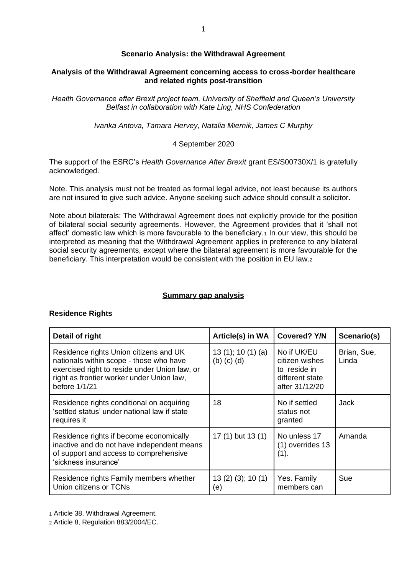# **Scenario Analysis: the Withdrawal Agreement**

# **Analysis of the Withdrawal Agreement concerning access to cross-border healthcare and related rights post-transition**

*Health Governance after Brexit project team, University of Sheffield and Queen's University Belfast in collaboration with Kate Ling, NHS Confederation*

*Ivanka Antova, Tamara Hervey, Natalia Miernik, James C Murphy*

# 4 September 2020

The support of the ESRC's *Health Governance After Brexit* grant ES/S00730X/1 is gratefully acknowledged.

Note. This analysis must not be treated as formal legal advice, not least because its authors are not insured to give such advice. Anyone seeking such advice should consult a solicitor.

Note about bilaterals: The Withdrawal Agreement does not explicitly provide for the position of bilateral social security agreements. However, the Agreement provides that it 'shall not affect' domestic law which is more favourable to the beneficiary.<sup>1</sup> In our view, this should be interpreted as meaning that the Withdrawal Agreement applies in preference to any bilateral social security agreements, except where the bilateral agreement is more favourable for the beneficiary. This interpretation would be consistent with the position in EU law.<sup>2</sup>

# **Summary gap analysis**

#### **Residence Rights**

| Detail of right                                                                                                                                                                                  | Article(s) in WA                               | <b>Covered? Y/N</b>                                                                | Scenario(s)          |
|--------------------------------------------------------------------------------------------------------------------------------------------------------------------------------------------------|------------------------------------------------|------------------------------------------------------------------------------------|----------------------|
| Residence rights Union citizens and UK<br>nationals within scope - those who have<br>exercised right to reside under Union law, or<br>right as frontier worker under Union law,<br>before 1/1/21 | 13 $(1)$ ; 10 $(1)$ $(a)$<br>$(b)$ $(c)$ $(d)$ | No if UK/EU<br>citizen wishes<br>to reside in<br>different state<br>after 31/12/20 | Brian, Sue,<br>Linda |
| Residence rights conditional on acquiring<br>'settled status' under national law if state<br>requires it                                                                                         | 18                                             | No if settled<br>status not<br>granted                                             | Jack                 |
| Residence rights if become economically<br>inactive and do not have independent means<br>of support and access to comprehensive<br>'sickness insurance'                                          | 17 (1) but 13 (1)                              | No unless 17<br>$(1)$ overrides 13<br>(1).                                         | Amanda               |
| Residence rights Family members whether<br>Union citizens or TCNs                                                                                                                                | 13(2)(3); 10(1)<br>(e)                         | Yes. Family<br>members can                                                         | Sue                  |

<sup>1</sup> Article 38, Withdrawal Agreement.

<sup>2</sup> Article 8, Regulation 883/2004/EC.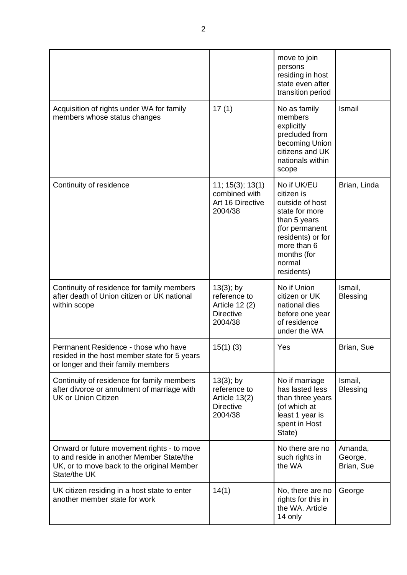|                                                                                                                                                       |                                                                                      | move to join<br>persons<br>residing in host<br>state even after<br>transition period                                                                                        |                                  |
|-------------------------------------------------------------------------------------------------------------------------------------------------------|--------------------------------------------------------------------------------------|-----------------------------------------------------------------------------------------------------------------------------------------------------------------------------|----------------------------------|
| Acquisition of rights under WA for family<br>members whose status changes                                                                             | 17(1)                                                                                | No as family<br>members<br>explicitly<br>precluded from<br>becoming Union<br>citizens and UK<br>nationals within<br>scope                                                   | Ismail                           |
| Continuity of residence                                                                                                                               | 11; 15(3); 13(1)<br>combined with<br>Art 16 Directive<br>2004/38                     | No if UK/EU<br>citizen is<br>outside of host<br>state for more<br>than 5 years<br>(for permanent<br>residents) or for<br>more than 6<br>months (for<br>normal<br>residents) | Brian, Linda                     |
| Continuity of residence for family members<br>after death of Union citizen or UK national<br>within scope                                             | $13(3)$ ; by<br>reference to<br><b>Article 12 (2)</b><br><b>Directive</b><br>2004/38 | No if Union<br>citizen or UK<br>national dies<br>before one year<br>of residence<br>under the WA                                                                            | Ismail,<br><b>Blessing</b>       |
| Permanent Residence - those who have<br>resided in the host member state for 5 years<br>or longer and their family members                            | $15(1)$ (3)                                                                          | Yes                                                                                                                                                                         | Brian, Sue                       |
| Continuity of residence for family members<br>after divorce or annulment of marriage with<br><b>UK or Union Citizen</b>                               | $13(3)$ ; by<br>reference to<br>Article 13(2)<br><b>Directive</b><br>2004/38         | No if marriage<br>has lasted less<br>than three years<br>(of which at<br>least 1 year is<br>spent in Host<br>State)                                                         | Ismail,<br><b>Blessing</b>       |
| Onward or future movement rights - to move<br>to and reside in another Member State/the<br>UK, or to move back to the original Member<br>State/the UK |                                                                                      | No there are no<br>such rights in<br>the WA                                                                                                                                 | Amanda,<br>George,<br>Brian, Sue |
| UK citizen residing in a host state to enter<br>another member state for work                                                                         | 14(1)                                                                                | No, there are no<br>rights for this in<br>the WA. Article<br>14 only                                                                                                        | George                           |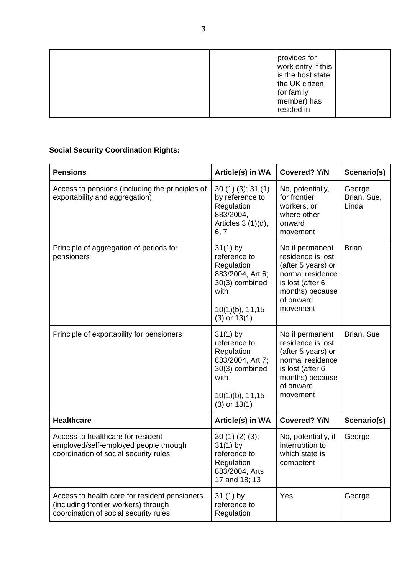|  | provides for<br>work entry if this<br>is the host state<br>the UK citizen<br>(or family<br>member) has<br>resided in |  |
|--|----------------------------------------------------------------------------------------------------------------------|--|
|--|----------------------------------------------------------------------------------------------------------------------|--|

# **Social Security Coordination Rights:**

| <b>Pensions</b>                                                                                                                | Article(s) in WA                                                                                                                  | <b>Covered? Y/N</b>                                                                                                                            | Scenario(s)                     |
|--------------------------------------------------------------------------------------------------------------------------------|-----------------------------------------------------------------------------------------------------------------------------------|------------------------------------------------------------------------------------------------------------------------------------------------|---------------------------------|
| Access to pensions (including the principles of<br>exportability and aggregation)                                              | 30(1)(3); 31(1)<br>by reference to<br>Regulation<br>883/2004,<br>Articles $3(1)(d)$ ,<br>6, 7                                     | No, potentially,<br>for frontier<br>workers, or<br>where other<br>onward<br>movement                                                           | George,<br>Brian, Sue,<br>Linda |
| Principle of aggregation of periods for<br>pensioners                                                                          | $31(1)$ by<br>reference to<br>Regulation<br>883/2004, Art 6;<br>30(3) combined<br>with<br>$10(1)(b)$ , 11, 15<br>$(3)$ or $13(1)$ | No if permanent<br>residence is lost<br>(after 5 years) or<br>normal residence<br>is lost (after 6<br>months) because<br>of onward<br>movement | <b>Brian</b>                    |
| Principle of exportability for pensioners                                                                                      | $31(1)$ by<br>reference to<br>Regulation<br>883/2004, Art 7;<br>30(3) combined<br>with<br>$10(1)(b)$ , 11, 15<br>$(3)$ or $13(1)$ | No if permanent<br>residence is lost<br>(after 5 years) or<br>normal residence<br>is lost (after 6<br>months) because<br>of onward<br>movement | Brian, Sue                      |
| <b>Healthcare</b>                                                                                                              | Article(s) in WA                                                                                                                  | <b>Covered? Y/N</b>                                                                                                                            | Scenario(s)                     |
| Access to healthcare for resident<br>employed/self-employed people through<br>coordination of social security rules            | 30(1)(2)(3);<br>$31(1)$ by<br>reference to<br>Regulation<br>883/2004, Arts<br>17 and 18; 13                                       | No, potentially, if<br>interruption to<br>which state is<br>competent                                                                          | George                          |
| Access to health care for resident pensioners<br>(including frontier workers) through<br>coordination of social security rules | $31(1)$ by<br>reference to<br>Regulation                                                                                          | Yes                                                                                                                                            | George                          |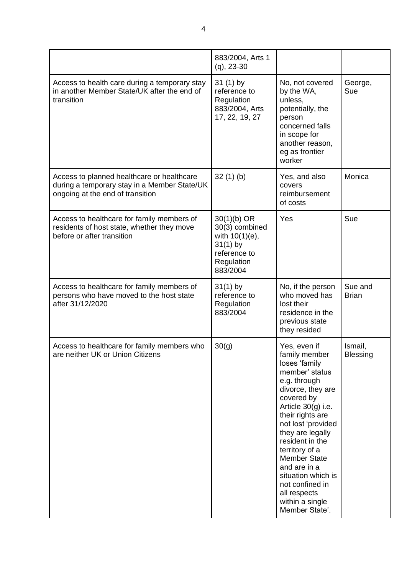|                                                                                                                                | 883/2004, Arts 1<br>$(q)$ , 23-30                                                                            |                                                                                                                                                                                                                                                                                                                                                                                     |                            |
|--------------------------------------------------------------------------------------------------------------------------------|--------------------------------------------------------------------------------------------------------------|-------------------------------------------------------------------------------------------------------------------------------------------------------------------------------------------------------------------------------------------------------------------------------------------------------------------------------------------------------------------------------------|----------------------------|
| Access to health care during a temporary stay<br>in another Member State/UK after the end of<br>transition                     | $31(1)$ by<br>reference to<br>Regulation<br>883/2004, Arts<br>17, 22, 19, 27                                 | No, not covered<br>by the WA,<br>unless,<br>potentially, the<br>person<br>concerned falls<br>in scope for<br>another reason,<br>eg as frontier<br>worker                                                                                                                                                                                                                            | George,<br>Sue             |
| Access to planned healthcare or healthcare<br>during a temporary stay in a Member State/UK<br>ongoing at the end of transition | 32(1)(b)                                                                                                     | Yes, and also<br>covers<br>reimbursement<br>of costs                                                                                                                                                                                                                                                                                                                                | Monica                     |
| Access to healthcare for family members of<br>residents of host state, whether they move<br>before or after transition         | $30(1)(b)$ OR<br>30(3) combined<br>with $10(1)(e)$ ,<br>$31(1)$ by<br>reference to<br>Regulation<br>883/2004 | Yes                                                                                                                                                                                                                                                                                                                                                                                 | Sue                        |
| Access to healthcare for family members of<br>persons who have moved to the host state<br>after 31/12/2020                     | $31(1)$ by<br>reference to<br>Regulation<br>883/2004                                                         | No, if the person<br>who moved has<br>lost their<br>residence in the<br>previous state<br>they resided                                                                                                                                                                                                                                                                              | Sue and<br><b>Brian</b>    |
| Access to healthcare for family members who<br>are neither UK or Union Citizens                                                | 30(g)                                                                                                        | Yes, even if<br>family member<br>loses 'family<br>member' status<br>e.g. through<br>divorce, they are<br>covered by<br>Article $30(g)$ i.e.<br>their rights are<br>not lost 'provided<br>they are legally<br>resident in the<br>territory of a<br><b>Member State</b><br>and are in a<br>situation which is<br>not confined in<br>all respects<br>within a single<br>Member State'. | Ismail,<br><b>Blessing</b> |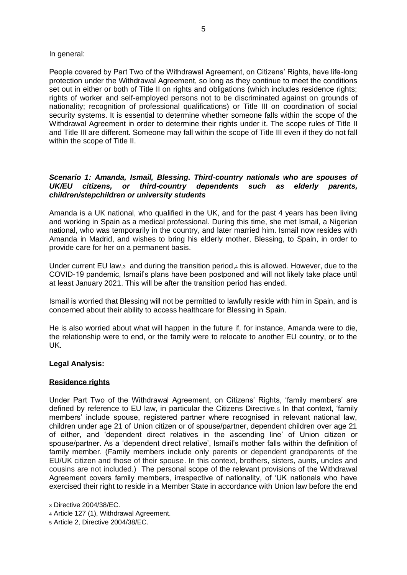## In general:

People covered by Part Two of the Withdrawal Agreement, on Citizens' Rights, have life-long protection under the Withdrawal Agreement, so long as they continue to meet the conditions set out in either or both of Title II on rights and obligations (which includes residence rights; rights of worker and self-employed persons not to be discriminated against on grounds of nationality; recognition of professional qualifications) or Title III on coordination of social security systems. It is essential to determine whether someone falls within the scope of the Withdrawal Agreement in order to determine their rights under it. The scope rules of Title II and Title III are different. Someone may fall within the scope of Title III even if they do not fall within the scope of Title II.

# *Scenario 1: Amanda, Ismail, Blessing. Third-country nationals who are spouses of UK/EU citizens, or third-country dependents such as elderly parents, children/stepchildren or university students*

Amanda is a UK national, who qualified in the UK, and for the past 4 years has been living and working in Spain as a medical professional. During this time, she met Ismail, a Nigerian national, who was temporarily in the country, and later married him. Ismail now resides with Amanda in Madrid, and wishes to bring his elderly mother, Blessing, to Spain, in order to provide care for her on a permanent basis.

Under current EU law,3 and during the transition period,<sup>4</sup> this is allowed. However, due to the COVID-19 pandemic, Ismail's plans have been postponed and will not likely take place until at least January 2021. This will be after the transition period has ended.

Ismail is worried that Blessing will not be permitted to lawfully reside with him in Spain, and is concerned about their ability to access healthcare for Blessing in Spain.

He is also worried about what will happen in the future if, for instance, Amanda were to die, the relationship were to end, or the family were to relocate to another EU country, or to the UK.

# **Legal Analysis:**

# **Residence rights**

Under Part Two of the Withdrawal Agreement, on Citizens' Rights, 'family members' are defined by reference to EU law, in particular the Citizens Directive.<sup>5</sup> In that context, 'family members' include spouse, registered partner where recognised in relevant national law, children under age 21 of Union citizen or of spouse/partner, dependent children over age 21 of either, and 'dependent direct relatives in the ascending line' of Union citizen or spouse/partner. As a 'dependent direct relative', Ismail's mother falls within the definition of family member. (Family members include only parents or dependent grandparents of the EU/UK citizen and those of their spouse. In this context, brothers, sisters, aunts, uncles and cousins are not included.) The personal scope of the relevant provisions of the Withdrawal Agreement covers family members, irrespective of nationality, of 'UK nationals who have exercised their right to reside in a Member State in accordance with Union law before the end

- <sup>4</sup> Article 127 (1), Withdrawal Agreement.
- <sup>5</sup> Article 2, Directive 2004/38/EC.

<sup>3</sup> Directive 2004/38/EC.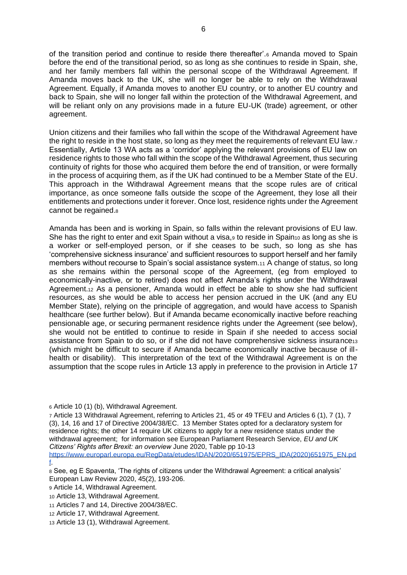of the transition period and continue to reside there thereafter'.<sup>6</sup> Amanda moved to Spain before the end of the transitional period, so as long as she continues to reside in Spain, she, and her family members fall within the personal scope of the Withdrawal Agreement. If Amanda moves back to the UK, she will no longer be able to rely on the Withdrawal Agreement. Equally, if Amanda moves to another EU country, or to another EU country and back to Spain, she will no longer fall within the protection of the Withdrawal Agreement, and will be reliant only on any provisions made in a future EU-UK (trade) agreement, or other agreement.

Union citizens and their families who fall within the scope of the Withdrawal Agreement have the right to reside in the host state, so long as they meet the requirements of relevant EU law.<sup>7</sup> Essentially, Article 13 WA acts as a 'corridor' applying the relevant provisions of EU law on residence rights to those who fall within the scope of the Withdrawal Agreement, thus securing continuity of rights for those who acquired them before the end of transition, or were formally in the process of acquiring them, as if the UK had continued to be a Member State of the EU. This approach in the Withdrawal Agreement means that the scope rules are of critical importance, as once someone falls outside the scope of the Agreement, they lose all their entitlements and protections under it forever. Once lost, residence rights under the Agreement cannot be regained.<sup>8</sup>

Amanda has been and is working in Spain, so falls within the relevant provisions of EU law. She has the right to enter and exit Spain without a visa, $9$  to reside in Spain $10$  as long as she is a worker or self-employed person, or if she ceases to be such, so long as she has 'comprehensive sickness insurance' and sufficient resources to support herself and her family members without recourse to Spain's social assistance system.<sup>11</sup> A change of status, so long as she remains within the personal scope of the Agreement, (eg from employed to economically-inactive, or to retired) does not affect Amanda's rights under the Withdrawal Agreement.<sup>12</sup> As a pensioner, Amanda would in effect be able to show she had sufficient resources, as she would be able to access her pension accrued in the UK (and any EU Member State), relying on the principle of aggregation, and would have access to Spanish healthcare (see further below). But if Amanda became economically inactive before reaching pensionable age, or securing permanent residence rights under the Agreement (see below), she would not be entitled to continue to reside in Spain if she needed to access social assistance from Spain to do so, or if she did not have comprehensive sickness insurance<sup>13</sup> (which might be difficult to secure if Amanda became economically inactive because of illhealth or disability). This interpretation of the text of the Withdrawal Agreement is on the assumption that the scope rules in Article 13 apply in preference to the provision in Article 17

- <sup>12</sup> Article 17, Withdrawal Agreement.
- <sup>13</sup> Article 13 (1), Withdrawal Agreement.

<sup>6</sup> Article 10 (1) (b), Withdrawal Agreement.

<sup>7</sup> Article 13 Withdrawal Agreement, referring to Articles 21, 45 or 49 TFEU and Articles 6 (1), 7 (1), 7 (3), 14, 16 and 17 of Directive 2004/38/EC. 13 Member States opted for a declaratory system for residence rights; the other 14 require UK citizens to apply for a new residence status under the withdrawal agreement; for information see European Parliament Research Service, *EU and UK Citizens' Rights after Brexit: an overview* June 2020, Table pp 10-13

[https://www.europarl.europa.eu/RegData/etudes/IDAN/2020/651975/EPRS\\_IDA\(2020\)651975\\_EN.pd](https://www.europarl.europa.eu/RegData/etudes/IDAN/2020/651975/EPRS_IDA(2020)651975_EN.pdf) [f.](https://www.europarl.europa.eu/RegData/etudes/IDAN/2020/651975/EPRS_IDA(2020)651975_EN.pdf)

<sup>8</sup> See, eg E Spaventa, 'The rights of citizens under the Withdrawal Agreement: a critical analysis' European Law Review 2020, 45(2), 193-206.

<sup>9</sup> Article 14, Withdrawal Agreement.

<sup>10</sup> Article 13, Withdrawal Agreement.

<sup>11</sup> Articles 7 and 14, Directive 2004/38/EC.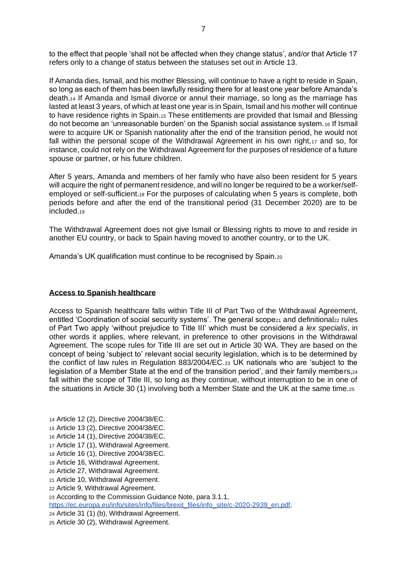to the effect that people 'shall not be affected when they change status', and/or that Article 17 refers only to a change of status between the statuses set out in Article 13.

If Amanda dies, Ismail, and his mother Blessing, will continue to have a right to reside in Spain, so long as each of them has been lawfully residing there for at least one year before Amanda's death.<sup>14</sup> If Amanda and Ismail divorce or annul their marriage, so long as the marriage has lasted at least 3 years, of which at least one year is in Spain, Ismail and his mother will continue to have residence rights in Spain.<sup>15</sup> These entitlements are provided that Ismail and Blessing do not become an 'unreasonable burden' on the Spanish social assistance system.<sup>16</sup> If Ismail were to acquire UK or Spanish nationality after the end of the transition period, he would not fall within the personal scope of the Withdrawal Agreement in his own right,17 and so, for instance, could not rely on the Withdrawal Agreement for the purposes of residence of a future spouse or partner, or his future children.

After 5 years, Amanda and members of her family who have also been resident for 5 years will acquire the right of permanent residence, and will no longer be required to be a worker/selfemployed or self-sufficient.<sup>18</sup> For the purposes of calculating when 5 years is complete, both periods before and after the end of the transitional period (31 December 2020) are to be included.<sup>19</sup>

The Withdrawal Agreement does not give Ismail or Blessing rights to move to and reside in another EU country, or back to Spain having moved to another country, or to the UK.

Amanda's UK qualification must continue to be recognised by Spain.<sup>20</sup>

#### **Access to Spanish healthcare**

Access to Spanish healthcare falls within Title III of Part Two of the Withdrawal Agreement, entitled 'Coordination of social security systems'. The general scope<sub>21</sub> and definitional<sub>22</sub> rules of Part Two apply 'without prejudice to Title III' which must be considered a *lex specialis*, in other words it applies, where relevant, in preference to other provisions in the Withdrawal Agreement. The scope rules for Title III are set out in Article 30 WA. They are based on the concept of being 'subject to' relevant social security legislation, which is to be determined by the conflict of law rules in Regulation 883/2004/EC.<sup>23</sup> UK nationals who are 'subject to the legislation of a Member State at the end of the transition period', and their family members,<sup>24</sup> fall within the scope of Title III, so long as they continue, without interruption to be in one of the situations in Article 30 (1) involving both a Member State and the UK at the same time.<sup>25</sup>

- <sup>14</sup> Article 12 (2), Directive 2004/38/EC.
- <sup>15</sup> Article 13 (2), Directive 2004/38/EC.
- <sup>16</sup> Article 14 (1), Directive 2004/38/EC.
- <sup>17</sup> Article 17 (1), Withdrawal Agreement.
- <sup>18</sup> Article 16 (1), Directive 2004/38/EC.
- <sup>19</sup> Article 16, Withdrawal Agreement.
- <sup>20</sup> Article 27, Withdrawal Agreement.
- <sup>21</sup> Article 10, Withdrawal Agreement.
- <sup>22</sup> Article 9, Withdrawal Agreement.
- <sup>23</sup> According to the Commission Guidance Note, para 3.1.1,
- [https://ec.europa.eu/info/sites/info/files/brexit\\_files/info\\_site/c-2020-2939\\_en.pdf.](https://ec.europa.eu/info/sites/info/files/brexit_files/info_site/c-2020-2939_en.pdf)
- <sup>24</sup> Article 31 (1) (b), Withdrawal Agreement.
- <sup>25</sup> Article 30 (2), Withdrawal Agreement.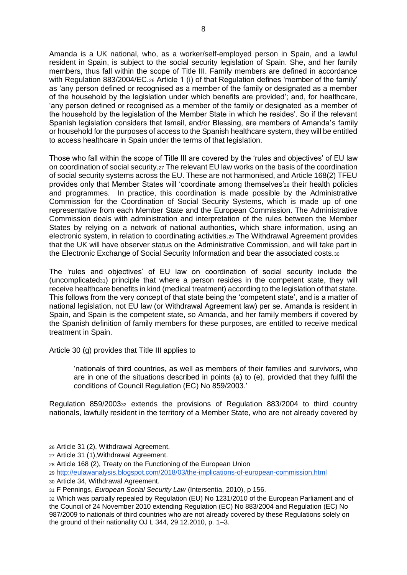Amanda is a UK national, who, as a worker/self-employed person in Spain, and a lawful resident in Spain, is subject to the social security legislation of Spain. She, and her family members, thus fall within the scope of Title III. Family members are defined in accordance with Regulation 883/2004/EC.<sub>26</sub> Article 1 (i) of that Regulation defines 'member of the family' as 'any person defined or recognised as a member of the family or designated as a member of the household by the legislation under which benefits are provided'; and, for healthcare, 'any person defined or recognised as a member of the family or designated as a member of the household by the legislation of the Member State in which he resides'. So if the relevant Spanish legislation considers that Ismail, and/or Blessing, are members of Amanda's family or household for the purposes of access to the Spanish healthcare system, they will be entitled to access healthcare in Spain under the terms of that legislation.

Those who fall within the scope of Title III are covered by the 'rules and objectives' of EU law on coordination of social security.<sup>27</sup> The relevant EU law works on the basis of the coordination of social security systems across the EU. These are not harmonised, and Article 168(2) TFEU provides only that Member States will 'coordinate among themselves'<sup>28</sup> their health policies and programmes. In practice, this coordination is made possible by the Administrative Commission for the Coordination of Social Security Systems, which is made up of one representative from each Member State and the European Commission. The Administrative Commission deals with administration and interpretation of the rules between the Member States by relying on a network of national authorities, which share information, using an electronic system, in relation to coordinating activities.<sup>29</sup> The Withdrawal Agreement provides that the UK will have observer status on the Administrative Commission, and will take part in the Electronic Exchange of Social Security Information and bear the associated costs.<sup>30</sup>

The 'rules and objectives' of EU law on coordination of social security include the (uncomplicated31) principle that where a person resides in the competent state, they will receive healthcare benefits in kind (medical treatment) according to the legislation of that state. This follows from the very concept of that state being the 'competent state', and is a matter of national legislation, not EU law (or Withdrawal Agreement law) per se. Amanda is resident in Spain, and Spain is the competent state, so Amanda, and her family members if covered by the Spanish definition of family members for these purposes, are entitled to receive medical treatment in Spain.

Article 30 (g) provides that Title III applies to

'nationals of third countries, as well as members of their families and survivors, who are in one of the situations described in points (a) to (e), provided that they fulfil the conditions of Council Regulation (EC) No 859/2003.'

Regulation 859/2003<sup>32</sup> extends the provisions of Regulation 883/2004 to third country nationals, lawfully resident in the territory of a Member State, who are not already covered by

<sup>26</sup> Article 31 (2), Withdrawal Agreement.

<sup>27</sup> Article 31 (1),Withdrawal Agreement.

<sup>28</sup> Article 168 (2), Treaty on the Functioning of the European Union

<sup>29</sup> <http://eulawanalysis.blogspot.com/2018/03/the-implications-of-european-commission.html>

<sup>30</sup> Article 34, Withdrawal Agreement.

<sup>31</sup> F Pennings, *European Social Security Law* (Intersentia, 2010), p 156.

<sup>32</sup> Which was partially repealed by Regulation (EU) No 1231/2010 of the European Parliament and of the Council of 24 November 2010 extending Regulation (EC) No 883/2004 and Regulation (EC) No 987/2009 to nationals of third countries who are not already covered by these Regulations solely on the ground of their nationality OJ L 344, 29.12.2010, p. 1–3.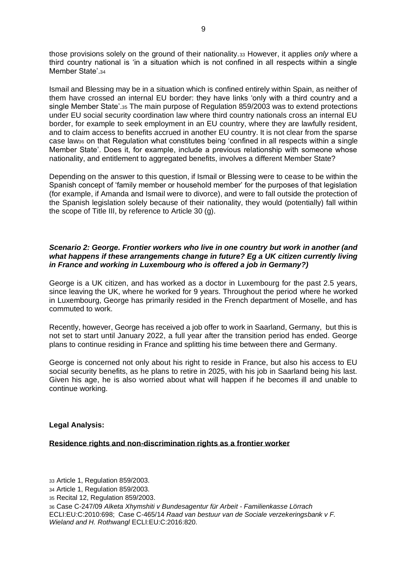those provisions solely on the ground of their nationality.<sup>33</sup> However, it applies *only* where a third country national is 'in a situation which is not confined in all respects within a single Member State'.34

Ismail and Blessing may be in a situation which is confined entirely within Spain, as neither of them have crossed an internal EU border: they have links 'only with a third country and a single Member State'.<sup>35</sup> The main purpose of Regulation 859/2003 was to extend protections under EU social security coordination law where third country nationals cross an internal EU border, for example to seek employment in an EU country, where they are lawfully resident, and to claim access to benefits accrued in another EU country. It is not clear from the sparse case law<sub>36</sub> on that Regulation what constitutes being 'confined in all respects within a single Member State'. Does it, for example, include a previous relationship with someone whose nationality, and entitlement to aggregated benefits, involves a different Member State?

Depending on the answer to this question, if Ismail or Blessing were to cease to be within the Spanish concept of 'family member or household member' for the purposes of that legislation (for example, if Amanda and Ismail were to divorce), and were to fall outside the protection of the Spanish legislation solely because of their nationality, they would (potentially) fall within the scope of Title III, by reference to Article 30 (g).

# *Scenario 2: George. Frontier workers who live in one country but work in another (and what happens if these arrangements change in future? Eg a UK citizen currently living in France and working in Luxembourg who is offered a job in Germany?)*

George is a UK citizen, and has worked as a doctor in Luxembourg for the past 2.5 years, since leaving the UK, where he worked for 9 years. Throughout the period where he worked in Luxembourg, George has primarily resided in the French department of Moselle, and has commuted to work.

Recently, however, George has received a job offer to work in Saarland, Germany, but this is not set to start until January 2022, a full year after the transition period has ended. George plans to continue residing in France and splitting his time between there and Germany.

George is concerned not only about his right to reside in France, but also his access to EU social security benefits, as he plans to retire in 2025, with his job in Saarland being his last. Given his age, he is also worried about what will happen if he becomes ill and unable to continue working.

# **Legal Analysis:**

#### **Residence rights and non-discrimination rights as a frontier worker**

 Article 1, Regulation 859/2003. Article 1, Regulation 859/2003. Recital 12, Regulation 859/2003. Case C-247/09 *Alketa Xhymshiti v Bundesagentur für Arbeit - Familienkasse Lörrach* ECLI:EU:C:2010:698; Case C-465/14 *Raad van bestuur van de Sociale verzekeringsbank v F. Wieland and H. Rothwangl* ECLI:EU:C:2016:820.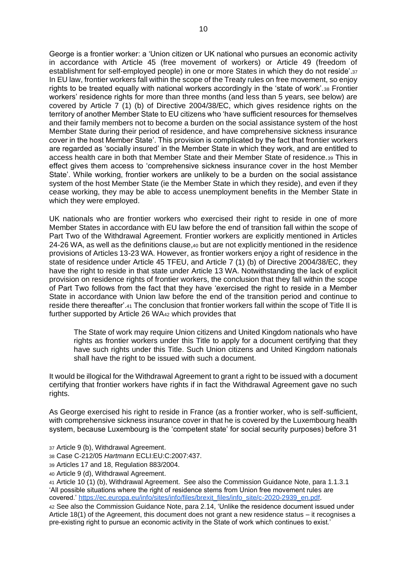George is a frontier worker: a 'Union citizen or UK national who pursues an economic activity in accordance with Article 45 (free movement of workers) or Article 49 (freedom of establishment for self-employed people) in one or more States in which they do not reside'.<sup>37</sup> In EU law, frontier workers fall within the scope of the Treaty rules on free movement, so enjoy rights to be treated equally with national workers accordingly in the 'state of work'.<sup>38</sup> Frontier workers' residence rights for more than three months (and less than 5 years, see below) are covered by Article 7 (1) (b) of Directive 2004/38/EC, which gives residence rights on the territory of another Member State to EU citizens who 'have sufficient resources for themselves and their family members not to become a burden on the social assistance system of the host Member State during their period of residence, and have comprehensive sickness insurance cover in the host Member State'. This provision is complicated by the fact that frontier workers are regarded as 'socially insured' in the Member State in which they work, and are entitled to access health care in both that Member State and their Member State of residence.<sup>39</sup> This in effect gives them access to 'comprehensive sickness insurance cover in the host Member State'. While working, frontier workers are unlikely to be a burden on the social assistance system of the host Member State (ie the Member State in which they reside), and even if they cease working, they may be able to access unemployment benefits in the Member State in which they were employed.

UK nationals who are frontier workers who exercised their right to reside in one of more Member States in accordance with EU law before the end of transition fall within the scope of Part Two of the Withdrawal Agreement. Frontier workers are explicitly mentioned in Articles 24-26 WA, as well as the definitions clause,<sup>40</sup> but are not explicitly mentioned in the residence provisions of Articles 13-23 WA. However, as frontier workers enjoy a right of residence in the state of residence under Article 45 TFEU, and Article 7 (1) (b) of Directive 2004/38/EC, they have the right to reside in that state under Article 13 WA. Notwithstanding the lack of explicit provision on residence rights of frontier workers, the conclusion that they fall within the scope of Part Two follows from the fact that they have 'exercised the right to reside in a Member State in accordance with Union law before the end of the transition period and continue to reside there thereafter'.<sup>41</sup> The conclusion that frontier workers fall within the scope of Title II is further supported by Article 26 WA<sup>42</sup> which provides that

The State of work may require Union citizens and United Kingdom nationals who have rights as frontier workers under this Title to apply for a document certifying that they have such rights under this Title. Such Union citizens and United Kingdom nationals shall have the right to be issued with such a document.

It would be illogical for the Withdrawal Agreement to grant a right to be issued with a document certifying that frontier workers have rights if in fact the Withdrawal Agreement gave no such rights.

As George exercised his right to reside in France (as a frontier worker, who is self-sufficient, with comprehensive sickness insurance cover in that he is covered by the Luxembourg health system, because Luxembourg is the 'competent state' for social security purposes) before 31

- <sup>37</sup> Article 9 (b), Withdrawal Agreement.
- <sup>38</sup> Case C-212/05 *Hartmann* ECLI:EU:C:2007:437.
- <sup>39</sup> Articles 17 and 18, Regulation 883/2004.
- <sup>40</sup> Article 9 (d), Withdrawal Agreement.

<sup>41</sup> Article 10 (1) (b), Withdrawal Agreement. See also the Commission Guidance Note, para 1.1.3.1 'All possible situations where the right of residence stems from Union free movement rules are covered.' [https://ec.europa.eu/info/sites/info/files/brexit\\_files/info\\_site/c-2020-2939\\_en.pdf.](https://ec.europa.eu/info/sites/info/files/brexit_files/info_site/c-2020-2939_en.pdf)

<sup>42</sup> See also the Commission Guidance Note, para 2.14, 'Unlike the residence document issued under Article 18(1) of the Agreement, this document does not grant a new residence status – it recognises a pre-existing right to pursue an economic activity in the State of work which continues to exist.'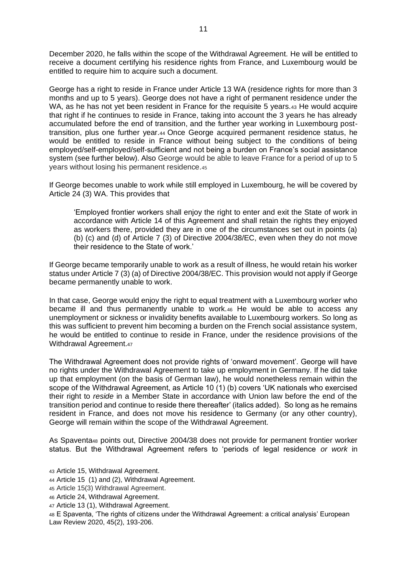December 2020, he falls within the scope of the Withdrawal Agreement. He will be entitled to receive a document certifying his residence rights from France, and Luxembourg would be entitled to require him to acquire such a document.

George has a right to reside in France under Article 13 WA (residence rights for more than 3 months and up to 5 years). George does not have a right of permanent residence under the WA, as he has not yet been resident in France for the requisite 5 years.43 He would acquire that right if he continues to reside in France, taking into account the 3 years he has already accumulated before the end of transition, and the further year working in Luxembourg posttransition, plus one further year.<sup>44</sup> Once George acquired permanent residence status, he would be entitled to reside in France without being subject to the conditions of being employed/self-employed/self-sufficient and not being a burden on France's social assistance system (see further below). Also George would be able to leave France for a period of up to 5 years without losing his permanent residence.<sup>45</sup>

If George becomes unable to work while still employed in Luxembourg, he will be covered by Article 24 (3) WA. This provides that

'Employed frontier workers shall enjoy the right to enter and exit the State of work in accordance with Article 14 of this Agreement and shall retain the rights they enjoyed as workers there, provided they are in one of the circumstances set out in points (a) (b) (c) and (d) of Article 7 (3) of Directive 2004/38/EC, even when they do not move their residence to the State of work.'

If George became temporarily unable to work as a result of illness, he would retain his worker status under Article 7 (3) (a) of Directive 2004/38/EC. This provision would not apply if George became permanently unable to work.

In that case, George would enjoy the right to equal treatment with a Luxembourg worker who became ill and thus permanently unable to work.<sup>46</sup> He would be able to access any unemployment or sickness or invalidity benefits available to Luxembourg workers. So long as this was sufficient to prevent him becoming a burden on the French social assistance system, he would be entitled to continue to reside in France, under the residence provisions of the Withdrawal Agreement.47

The Withdrawal Agreement does not provide rights of 'onward movement'. George will have no rights under the Withdrawal Agreement to take up employment in Germany. If he did take up that employment (on the basis of German law), he would nonetheless remain within the scope of the Withdrawal Agreement, as Article 10 (1) (b) covers 'UK nationals who exercised their right to *reside* in a Member State in accordance with Union law before the end of the transition period and continue to reside there thereafter' (italics added). So long as he remains resident in France, and does not move his residence to Germany (or any other country), George will remain within the scope of the Withdrawal Agreement.

As Spaventa<sup>48</sup> points out, Directive 2004/38 does not provide for permanent frontier worker status. But the Withdrawal Agreement refers to 'periods of legal residence *or work* in

- <sup>43</sup> Article 15, Withdrawal Agreement.
- <sup>44</sup> Article 15 (1) and (2), Withdrawal Agreement.
- <sup>45</sup> Article 15(3) Withdrawal Agreement.
- <sup>46</sup> Article 24, Withdrawal Agreement.
- <sup>47</sup> Article 13 (1), Withdrawal Agreement.

<sup>48</sup> E Spaventa, 'The rights of citizens under the Withdrawal Agreement: a critical analysis' European Law Review 2020, 45(2), 193-206.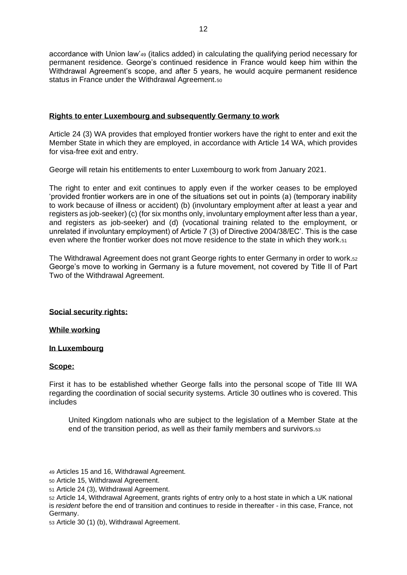accordance with Union law'<sup>49</sup> (italics added) in calculating the qualifying period necessary for permanent residence. George's continued residence in France would keep him within the Withdrawal Agreement's scope, and after 5 years, he would acquire permanent residence status in France under the Withdrawal Agreement.<sub>50</sub>

# **Rights to enter Luxembourg and subsequently Germany to work**

Article 24 (3) WA provides that employed frontier workers have the right to enter and exit the Member State in which they are employed, in accordance with Article 14 WA, which provides for visa-free exit and entry.

George will retain his entitlements to enter Luxembourg to work from January 2021.

The right to enter and exit continues to apply even if the worker ceases to be employed 'provided frontier workers are in one of the situations set out in points (a) (temporary inability to work because of illness or accident) (b) (involuntary employment after at least a year and registers as job-seeker) (c) (for six months only, involuntary employment after less than a year, and registers as job-seeker) and (d) (vocational training related to the employment, or unrelated if involuntary employment) of Article 7 (3) of Directive 2004/38/EC'. This is the case even where the frontier worker does not move residence to the state in which they work.<sup>51</sup>

The Withdrawal Agreement does not grant George rights to enter Germany in order to work.<sup>52</sup> George's move to working in Germany is a future movement, not covered by Title II of Part Two of the Withdrawal Agreement.

# **Social security rights:**

# **While working**

# **In Luxembourg**

# **Scope:**

First it has to be established whether George falls into the personal scope of Title III WA regarding the coordination of social security systems. Article 30 outlines who is covered. This includes

United Kingdom nationals who are subject to the legislation of a Member State at the end of the transition period, as well as their family members and survivors.<sup>53</sup>

<sup>53</sup> Article 30 (1) (b), Withdrawal Agreement.

<sup>49</sup> Articles 15 and 16, Withdrawal Agreement.

<sup>50</sup> Article 15, Withdrawal Agreement.

<sup>51</sup> Article 24 (3), Withdrawal Agreement.

<sup>52</sup> Article 14, Withdrawal Agreement, grants rights of entry only to a host state in which a UK national is *resident* before the end of transition and continues to reside in thereafter - in this case, France, not Germany.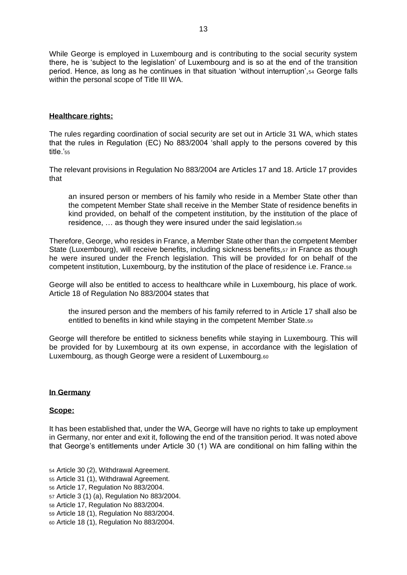While George is employed in Luxembourg and is contributing to the social security system there, he is 'subject to the legislation' of Luxembourg and is so at the end of the transition period. Hence, as long as he continues in that situation 'without interruption',<sup>54</sup> George falls within the personal scope of Title III WA.

# **Healthcare rights:**

The rules regarding coordination of social security are set out in Article 31 WA, which states that the rules in Regulation (EC) No 883/2004 'shall apply to the persons covered by this title.'<sup>55</sup>

The relevant provisions in Regulation No 883/2004 are Articles 17 and 18. Article 17 provides that

an insured person or members of his family who reside in a Member State other than the competent Member State shall receive in the Member State of residence benefits in kind provided, on behalf of the competent institution, by the institution of the place of residence, … as though they were insured under the said legislation.<sup>56</sup>

Therefore, George, who resides in France, a Member State other than the competent Member State (Luxembourg), will receive benefits, including sickness benefits, 57 in France as though he were insured under the French legislation. This will be provided for on behalf of the competent institution, Luxembourg, by the institution of the place of residence i.e. France.<sup>58</sup>

George will also be entitled to access to healthcare while in Luxembourg, his place of work. Article 18 of Regulation No 883/2004 states that

the insured person and the members of his family referred to in Article 17 shall also be entitled to benefits in kind while staying in the competent Member State.<sup>59</sup>

George will therefore be entitled to sickness benefits while staying in Luxembourg. This will be provided for by Luxembourg at its own expense, in accordance with the legislation of Luxembourg, as though George were a resident of Luxembourg.<sup>60</sup>

#### **In Germany**

#### **Scope:**

It has been established that, under the WA, George will have no rights to take up employment in Germany, nor enter and exit it, following the end of the transition period. It was noted above that George's entitlements under Article 30 (1) WA are conditional on him falling within the

- <sup>54</sup> Article 30 (2), Withdrawal Agreement.
- <sup>55</sup> Article 31 (1), Withdrawal Agreement.
- <sup>56</sup> Article 17, Regulation No 883/2004.
- <sup>57</sup> Article 3 (1) (a), Regulation No 883/2004.
- <sup>58</sup> Article 17, Regulation No 883/2004.
- <sup>59</sup> Article 18 (1), Regulation No 883/2004.
- <sup>60</sup> Article 18 (1), Regulation No 883/2004.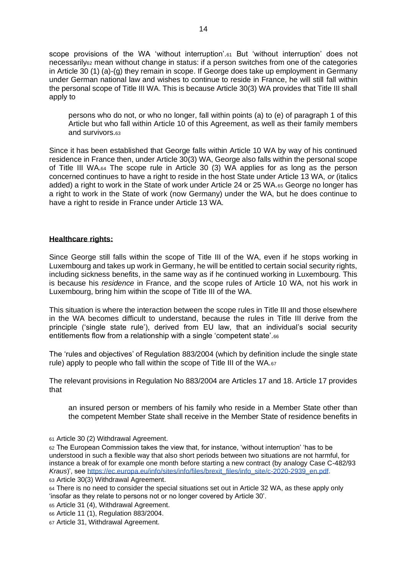scope provisions of the WA 'without interruption'.<sup>61</sup> But 'without interruption' does not necessarily<sup>62</sup> mean without change in status: if a person switches from one of the categories in Article 30 (1) (a)-(g) they remain in scope. If George does take up employment in Germany under German national law and wishes to continue to reside in France, he will still fall within the personal scope of Title III WA. This is because Article 30(3) WA provides that Title III shall apply to

persons who do not, or who no longer, fall within points (a) to (e) of paragraph 1 of this Article but who fall within Article 10 of this Agreement, as well as their family members and survivors.<sup>63</sup>

Since it has been established that George falls within Article 10 WA by way of his continued residence in France then, under Article 30(3) WA, George also falls within the personal scope of Title III WA.<sup>64</sup> The scope rule in Article 30 (3) WA applies for as long as the person concerned continues to have a right to reside in the host State under Article 13 WA, *or* (italics added) a right to work in the State of work under Article 24 or 25 WA.<sup>65</sup> George no longer has a right to work in the State of work (now Germany) under the WA, but he does continue to have a right to reside in France under Article 13 WA.

## **Healthcare rights:**

Since George still falls within the scope of Title III of the WA, even if he stops working in Luxembourg and takes up work in Germany, he will be entitled to certain social security rights, including sickness benefits, in the same way as if he continued working in Luxembourg. This is because his *residence* in France, and the scope rules of Article 10 WA, not his work in Luxembourg, bring him within the scope of Title III of the WA.

This situation is where the interaction between the scope rules in Title III and those elsewhere in the WA becomes difficult to understand, because the rules in Title III derive from the principle ('single state rule'), derived from EU law, that an individual's social security entitlements flow from a relationship with a single 'competent state'.<sup>66</sup>

The 'rules and objectives' of Regulation 883/2004 (which by definition include the single state rule) apply to people who fall within the scope of Title III of the WA.<sup>67</sup>

The relevant provisions in Regulation No 883/2004 are Articles 17 and 18. Article 17 provides that

an insured person or members of his family who reside in a Member State other than the competent Member State shall receive in the Member State of residence benefits in

<sup>61</sup> Article 30 (2) Withdrawal Agreement.

<sup>62</sup> The European Commission takes the view that, for instance, 'without interruption' 'has to be understood in such a flexible way that also short periods between two situations are not harmful, for instance a break of for example one month before starting a new contract (by analogy Case C-482/93 *Kraus*)', see [https://ec.europa.eu/info/sites/info/files/brexit\\_files/info\\_site/c-2020-2939\\_en.pdf.](https://ec.europa.eu/info/sites/info/files/brexit_files/info_site/c-2020-2939_en.pdf) <sup>63</sup> Article 30(3) Withdrawal Agreement.

64 There is no need to consider the special situations set out in Article 32 WA, as these apply only 'insofar as they relate to persons not or no longer covered by Article 30'.

<sup>65</sup> Article 31 (4), Withdrawal Agreement.

<sup>66</sup> Article 11 (1), Regulation 883/2004.

<sup>67</sup> Article 31, Withdrawal Agreement.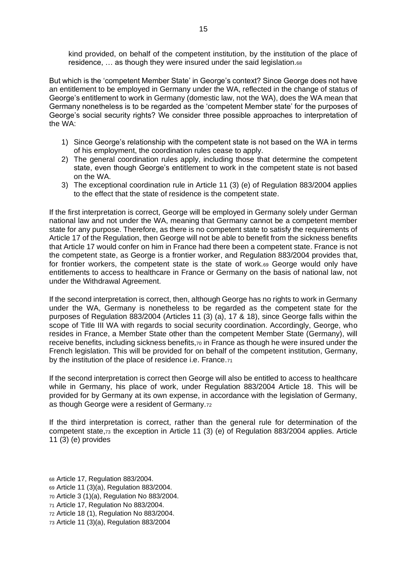kind provided, on behalf of the competent institution, by the institution of the place of residence, … as though they were insured under the said legislation.<sup>68</sup>

But which is the 'competent Member State' in George's context? Since George does not have an entitlement to be employed in Germany under the WA, reflected in the change of status of George's entitlement to work in Germany (domestic law, not the WA), does the WA mean that Germany nonetheless is to be regarded as the 'competent Member state' for the purposes of George's social security rights? We consider three possible approaches to interpretation of the WA:

- 1) Since George's relationship with the competent state is not based on the WA in terms of his employment, the coordination rules cease to apply.
- 2) The general coordination rules apply, including those that determine the competent state, even though George's entitlement to work in the competent state is not based on the WA.
- 3) The exceptional coordination rule in Article 11 (3) (e) of Regulation 883/2004 applies to the effect that the state of residence is the competent state.

If the first interpretation is correct, George will be employed in Germany solely under German national law and not under the WA, meaning that Germany cannot be a competent member state for any purpose. Therefore, as there is no competent state to satisfy the requirements of Article 17 of the Regulation, then George will not be able to benefit from the sickness benefits that Article 17 would confer on him in France had there been a competent state. France is not the competent state, as George is a frontier worker, and Regulation 883/2004 provides that, for frontier workers, the competent state is the state of work.<sup>69</sup> George would only have entitlements to access to healthcare in France or Germany on the basis of national law, not under the Withdrawal Agreement.

If the second interpretation is correct, then, although George has no rights to work in Germany under the WA, Germany is nonetheless to be regarded as the competent state for the purposes of Regulation 883/2004 (Articles 11 (3) (a), 17 & 18), since George falls within the scope of Title III WA with regards to social security coordination. Accordingly, George, who resides in France, a Member State other than the competent Member State (Germany), will receive benefits, including sickness benefits,<sup>70</sup> in France as though he were insured under the French legislation. This will be provided for on behalf of the competent institution, Germany, by the institution of the place of residence i.e. France.<sup>71</sup>

If the second interpretation is correct then George will also be entitled to access to healthcare while in Germany, his place of work, under Regulation 883/2004 Article 18. This will be provided for by Germany at its own expense, in accordance with the legislation of Germany, as though George were a resident of Germany.<sup>72</sup>

If the third interpretation is correct, rather than the general rule for determination of the competent state,<sup>73</sup> the exception in Article 11 (3) (e) of Regulation 883/2004 applies. Article 11 (3) (e) provides

- <sup>68</sup> Article 17, Regulation 883/2004.
- <sup>69</sup> Article 11 (3)(a), Regulation 883/2004.
- <sup>70</sup> Article 3 (1)(a), Regulation No 883/2004.
- <sup>71</sup> Article 17, Regulation No 883/2004.
- <sup>72</sup> Article 18 (1), Regulation No 883/2004.
- <sup>73</sup> Article 11 (3)(a), Regulation 883/2004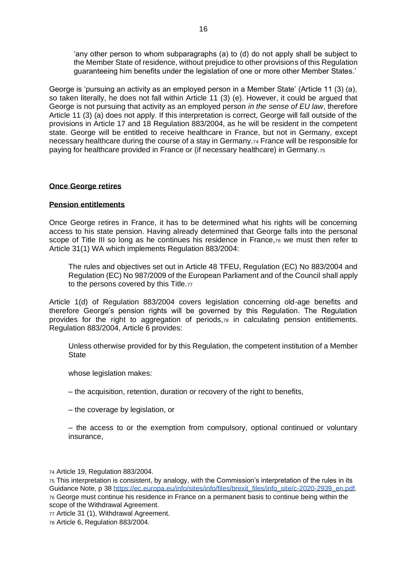'any other person to whom subparagraphs (a) to (d) do not apply shall be subject to the Member State of residence, without prejudice to other provisions of this Regulation guaranteeing him benefits under the legislation of one or more other Member States.'

George is 'pursuing an activity as an employed person in a Member State' (Article 11 (3) (a), so taken literally, he does not fall within Article 11 (3) (e). However, it could be argued that George is not pursuing that activity as an employed person *in the sense of EU law*, therefore Article 11 (3) (a) does not apply. If this interpretation is correct, George will fall outside of the provisions in Article 17 and 18 Regulation 883/2004, as he will be resident in the competent state. George will be entitled to receive healthcare in France, but not in Germany, except necessary healthcare during the course of a stay in Germany.<sup>74</sup> France will be responsible for paying for healthcare provided in France or (if necessary healthcare) in Germany.<sup>75</sup>

#### **Once George retires**

#### **Pension entitlements**

Once George retires in France, it has to be determined what his rights will be concerning access to his state pension. Having already determined that George falls into the personal scope of Title III so long as he continues his residence in France,76 we must then refer to Article 31(1) WA which implements Regulation 883/2004:

The rules and objectives set out in Article 48 TFEU, Regulation (EC) No 883/2004 and Regulation (EC) No 987/2009 of the European Parliament and of the Council shall apply to the persons covered by this Title.77

Article 1(d) of Regulation 883/2004 covers legislation concerning old-age benefits and therefore George's pension rights will be governed by this Regulation. The Regulation provides for the right to aggregation of periods,<sup>78</sup> in calculating pension entitlements. Regulation 883/2004, Article 6 provides:

Unless otherwise provided for by this Regulation, the competent institution of a Member **State** 

whose legislation makes:

- the acquisition, retention, duration or recovery of the right to benefits,
- the coverage by legislation, or

– the access to or the exemption from compulsory, optional continued or voluntary insurance,

<sup>74</sup> Article 19, Regulation 883/2004.

- <sup>75</sup> This interpretation is consistent, by analogy, with the Commission's interpretation of the rules in its Guidance Note, p 38 [https://ec.europa.eu/info/sites/info/files/brexit\\_files/info\\_site/c-2020-2939\\_en.pdf.](https://ec.europa.eu/info/sites/info/files/brexit_files/info_site/c-2020-2939_en.pdf) <sup>76</sup> George must continue his residence in France on a permanent basis to continue being within the scope of the Withdrawal Agreement.
- <sup>77</sup> Article 31 (1), Withdrawal Agreement.

<sup>78</sup> Article 6, Regulation 883/2004.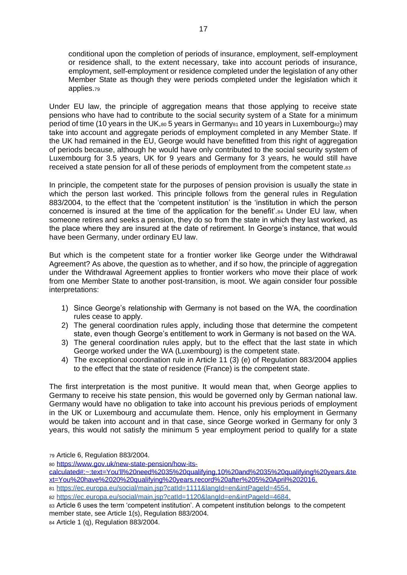conditional upon the completion of periods of insurance, employment, self-employment or residence shall, to the extent necessary, take into account periods of insurance, employment, self-employment or residence completed under the legislation of any other Member State as though they were periods completed under the legislation which it applies.<sup>79</sup>

Under EU law, the principle of aggregation means that those applying to receive state pensions who have had to contribute to the social security system of a State for a minimum period of time (10 years in the UK, $80$  5 years in Germany $81$  and 10 years in Luxembourg $82$ ) may take into account and aggregate periods of employment completed in any Member State. If the UK had remained in the EU, George would have benefitted from this right of aggregation of periods because, although he would have only contributed to the social security system of Luxembourg for 3.5 years, UK for 9 years and Germany for 3 years, he would still have received a state pension for all of these periods of employment from the competent state.83

In principle, the competent state for the purposes of pension provision is usually the state in which the person last worked. This principle follows from the general rules in Regulation 883/2004, to the effect that the 'competent institution' is the 'institution in which the person concerned is insured at the time of the application for the benefit'.<sup>84</sup> Under EU law, when someone retires and seeks a pension, they do so from the state in which they last worked, as the place where they are insured at the date of retirement. In George's instance, that would have been Germany, under ordinary EU law.

But which is the competent state for a frontier worker like George under the Withdrawal Agreement? As above, the question as to whether, and if so how, the principle of aggregation under the Withdrawal Agreement applies to frontier workers who move their place of work from one Member State to another post-transition, is moot. We again consider four possible interpretations:

- 1) Since George's relationship with Germany is not based on the WA, the coordination rules cease to apply.
- 2) The general coordination rules apply, including those that determine the competent state, even though George's entitlement to work in Germany is not based on the WA.
- 3) The general coordination rules apply, but to the effect that the last state in which George worked under the WA (Luxembourg) is the competent state.
- 4) The exceptional coordination rule in Article 11 (3) (e) of Regulation 883/2004 applies to the effect that the state of residence (France) is the competent state.

The first interpretation is the most punitive. It would mean that, when George applies to Germany to receive his state pension, this would be governed only by German national law. Germany would have no obligation to take into account his previous periods of employment in the UK or Luxembourg and accumulate them. Hence, only his employment in Germany would be taken into account and in that case, since George worked in Germany for only 3 years, this would not satisfy the minimum 5 year employment period to qualify for a state

<sup>79</sup> Article 6, Regulation 883/2004.

<sup>80</sup> [https://www.gov.uk/new-state-pension/how-its-](https://www.gov.uk/new-state-pension/how-its-calculated#:~:text=You)

<sup>84</sup> Article 1 (q), Regulation 883/2004.

[calculated#:~:text=You'll%20need%2035%20qualifying,10%20and%2035%20qualifying%20years.&te](https://www.gov.uk/new-state-pension/how-its-calculated#:~:text=You) [xt=You%20have%2020%20qualifying%20years,record%20after%205%20April%202016.](https://www.gov.uk/new-state-pension/how-its-calculated#:~:text=You)

<sup>81</sup> [https://ec.europa.eu/social/main.jsp?catId=1111&langId=en&intPageId=4554.](https://ec.europa.eu/social/main.jsp?catId=1111&langId=en&intPageId=4554)

<sup>82</sup> [https://ec.europa.eu/social/main.jsp?catId=1120&langId=en&intPageId=4684.](https://ec.europa.eu/social/main.jsp?catId=1120&langId=en&intPageId=4684)

<sup>83</sup> Article 6 uses the term 'competent institution'. A competent institution belongs to the competent member state, see Article 1(s), Regulation 883/2004.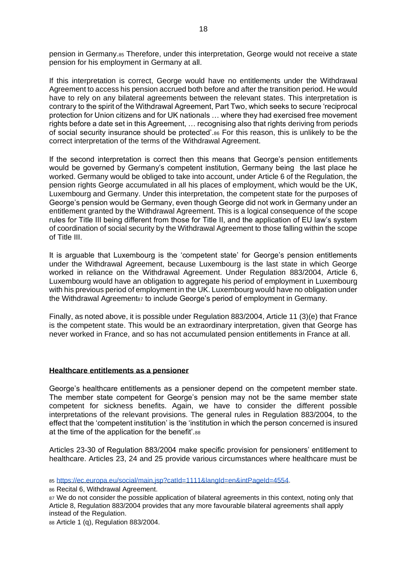pension in Germany.<sup>85</sup> Therefore, under this interpretation, George would not receive a state pension for his employment in Germany at all.

If this interpretation is correct, George would have no entitlements under the Withdrawal Agreement to access his pension accrued both before and after the transition period. He would have to rely on any bilateral agreements between the relevant states. This interpretation is contrary to the spirit of the Withdrawal Agreement, Part Two, which seeks to secure 'reciprocal protection for Union citizens and for UK nationals … where they had exercised free movement rights before a date set in this Agreement, … recognising also that rights deriving from periods of social security insurance should be protected'.<sup>86</sup> For this reason, this is unlikely to be the correct interpretation of the terms of the Withdrawal Agreement.

If the second interpretation is correct then this means that George's pension entitlements would be governed by Germany's competent institution, Germany being the last place he worked. Germany would be obliged to take into account, under Article 6 of the Regulation, the pension rights George accumulated in all his places of employment, which would be the UK, Luxembourg and Germany. Under this interpretation, the competent state for the purposes of George's pension would be Germany, even though George did not work in Germany under an entitlement granted by the Withdrawal Agreement. This is a logical consequence of the scope rules for Title III being different from those for Title II, and the application of EU law's system of coordination of social security by the Withdrawal Agreement to those falling within the scope of Title III.

It is arguable that Luxembourg is the 'competent state' for George's pension entitlements under the Withdrawal Agreement, because Luxembourg is the last state in which George worked in reliance on the Withdrawal Agreement. Under Regulation 883/2004, Article 6, Luxembourg would have an obligation to aggregate his period of employment in Luxembourg with his previous period of employment in the UK. Luxembourg would have no obligation under the Withdrawal Agreement<sub>87</sub> to include George's period of employment in Germany.

Finally, as noted above, it is possible under Regulation 883/2004, Article 11 (3)(e) that France is the competent state. This would be an extraordinary interpretation, given that George has never worked in France, and so has not accumulated pension entitlements in France at all.

#### **Healthcare entitlements as a pensioner**

George's healthcare entitlements as a pensioner depend on the competent member state. The member state competent for George's pension may not be the same member state competent for sickness benefits. Again, we have to consider the different possible interpretations of the relevant provisions. The general rules in Regulation 883/2004, to the effect that the 'competent institution' is the 'institution in which the person concerned is insured at the time of the application for the benefit'.88

Articles 23-30 of Regulation 883/2004 make specific provision for pensioners' entitlement to healthcare. Articles 23, 24 and 25 provide various circumstances where healthcare must be

<sup>85</sup> [https://ec.europa.eu/social/main.jsp?catId=1111&langId=en&intPageId=4554.](https://ec.europa.eu/social/main.jsp?catId=1111&langId=en&intPageId=4554)

<sup>86</sup> Recital 6, Withdrawal Agreement.

87 We do not consider the possible application of bilateral agreements in this context, noting only that Article 8, Regulation 883/2004 provides that any more favourable bilateral agreements shall apply instead of the Regulation.

<sup>88</sup> Article 1 (q), Regulation 883/2004.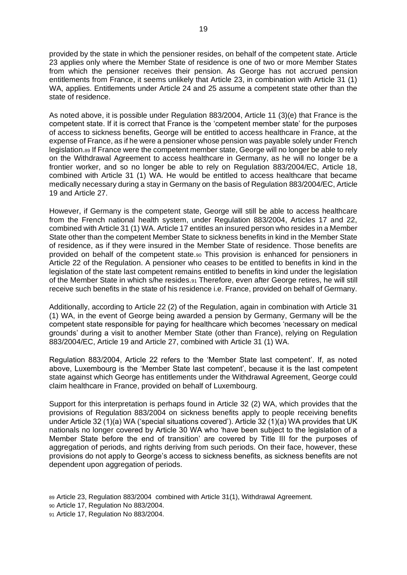provided by the state in which the pensioner resides, on behalf of the competent state. Article 23 applies only where the Member State of residence is one of two or more Member States from which the pensioner receives their pension. As George has not accrued pension entitlements from France, it seems unlikely that Article 23, in combination with Article 31 (1) WA, applies. Entitlements under Article 24 and 25 assume a competent state other than the state of residence.

As noted above, it is possible under Regulation 883/2004, Article 11 (3)(e) that France is the competent state. If it is correct that France is the 'competent member state' for the purposes of access to sickness benefits, George will be entitled to access healthcare in France, at the expense of France, as if he were a pensioner whose pension was payable solely under French legislation.<sup>89</sup> If France were the competent member state, George will no longer be able to rely on the Withdrawal Agreement to access healthcare in Germany, as he will no longer be a frontier worker, and so no longer be able to rely on Regulation 883/2004/EC, Article 18, combined with Article 31 (1) WA. He would be entitled to access healthcare that became medically necessary during a stay in Germany on the basis of Regulation 883/2004/EC, Article 19 and Article 27.

However, if Germany is the competent state, George will still be able to access healthcare from the French national health system, under Regulation 883/2004, Articles 17 and 22, combined with Article 31 (1) WA. Article 17 entitles an insured person who resides in a Member State other than the competent Member State to sickness benefits in kind in the Member State of residence, as if they were insured in the Member State of residence. Those benefits are provided on behalf of the competent state.<sup>90</sup> This provision is enhanced for pensioners in Article 22 of the Regulation. A pensioner who ceases to be entitled to benefits in kind in the legislation of the state last competent remains entitled to benefits in kind under the legislation of the Member State in which s/he resides.<sup>91</sup> Therefore, even after George retires, he will still receive such benefits in the state of his residence i.e. France, provided on behalf of Germany.

Additionally, according to Article 22 (2) of the Regulation, again in combination with Article 31 (1) WA, in the event of George being awarded a pension by Germany, Germany will be the competent state responsible for paying for healthcare which becomes 'necessary on medical grounds' during a visit to another Member State (other than France), relying on Regulation 883/2004/EC, Article 19 and Article 27, combined with Article 31 (1) WA.

Regulation 883/2004, Article 22 refers to the 'Member State last competent'. If, as noted above, Luxembourg is the 'Member State last competent', because it is the last competent state against which George has entitlements under the Withdrawal Agreement, George could claim healthcare in France, provided on behalf of Luxembourg.

Support for this interpretation is perhaps found in Article 32 (2) WA, which provides that the provisions of Regulation 883/2004 on sickness benefits apply to people receiving benefits under Article 32 (1)(a) WA ('special situations covered'). Article 32 (1)(a) WA provides that UK nationals no longer covered by Article 30 WA who 'have been subject to the legislation of a Member State before the end of transition' are covered by Title III for the purposes of aggregation of periods, and rights deriving from such periods. On their face, however, these provisions do not apply to George's access to sickness benefits, as sickness benefits are not dependent upon aggregation of periods.

89 Article 23, Regulation 883/2004 combined with Article 31(1), Withdrawal Agreement.

<sup>90</sup> Article 17, Regulation No 883/2004.

<sup>91</sup> Article 17, Regulation No 883/2004.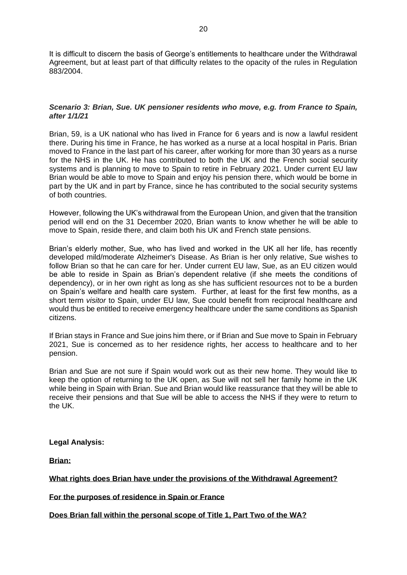It is difficult to discern the basis of George's entitlements to healthcare under the Withdrawal Agreement, but at least part of that difficulty relates to the opacity of the rules in Regulation 883/2004.

# *Scenario 3: Brian, Sue. UK pensioner residents who move, e.g. from France to Spain, after 1/1/21*

Brian, 59, is a UK national who has lived in France for 6 years and is now a lawful resident there. During his time in France, he has worked as a nurse at a local hospital in Paris. Brian moved to France in the last part of his career, after working for more than 30 years as a nurse for the NHS in the UK. He has contributed to both the UK and the French social security systems and is planning to move to Spain to retire in February 2021. Under current EU law Brian would be able to move to Spain and enjoy his pension there, which would be borne in part by the UK and in part by France, since he has contributed to the social security systems of both countries.

However, following the UK's withdrawal from the European Union, and given that the transition period will end on the 31 December 2020, Brian wants to know whether he will be able to move to Spain, reside there, and claim both his UK and French state pensions.

Brian's elderly mother, Sue, who has lived and worked in the UK all her life, has recently developed mild/moderate Alzheimer's Disease. As Brian is her only relative, Sue wishes to follow Brian so that he can care for her. Under current EU law, Sue, as an EU citizen would be able to reside in Spain as Brian's dependent relative (if she meets the conditions of dependency), or in her own right as long as she has sufficient resources not to be a burden on Spain's welfare and health care system. Further, at least for the first few months, as a short term *visitor* to Spain, under EU law, Sue could benefit from reciprocal healthcare and would thus be entitled to receive emergency healthcare under the same conditions as Spanish citizens.

If Brian stays in France and Sue joins him there, or if Brian and Sue move to Spain in February 2021, Sue is concerned as to her residence rights, her access to healthcare and to her pension.

Brian and Sue are not sure if Spain would work out as their new home. They would like to keep the option of returning to the UK open, as Sue will not sell her family home in the UK while being in Spain with Brian. Sue and Brian would like reassurance that they will be able to receive their pensions and that Sue will be able to access the NHS if they were to return to the UK.

**Legal Analysis:**

**Brian:** 

**What rights does Brian have under the provisions of the Withdrawal Agreement?**

**For the purposes of residence in Spain or France**

**Does Brian fall within the personal scope of Title 1, Part Two of the WA?**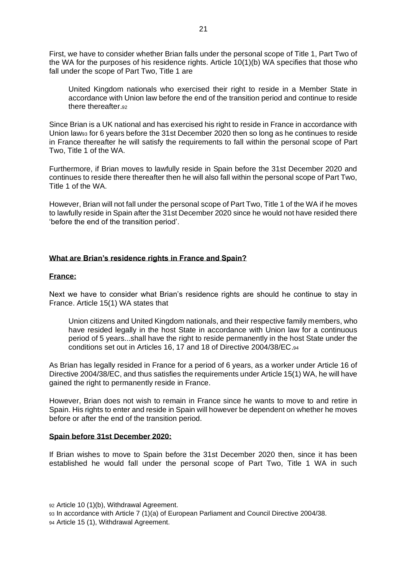First, we have to consider whether Brian falls under the personal scope of Title 1, Part Two of the WA for the purposes of his residence rights. Article 10(1)(b) WA specifies that those who fall under the scope of Part Two, Title 1 are

United Kingdom nationals who exercised their right to reside in a Member State in accordance with Union law before the end of the transition period and continue to reside there thereafter.92

Since Brian is a UK national and has exercised his right to reside in France in accordance with Union law<sup>93</sup> for 6 years before the 31st December 2020 then so long as he continues to reside in France thereafter he will satisfy the requirements to fall within the personal scope of Part Two, Title 1 of the WA.

Furthermore, if Brian moves to lawfully reside in Spain before the 31st December 2020 and continues to reside there thereafter then he will also fall within the personal scope of Part Two, Title 1 of the WA.

However, Brian will not fall under the personal scope of Part Two, Title 1 of the WA if he moves to lawfully reside in Spain after the 31st December 2020 since he would not have resided there 'before the end of the transition period'.

## **What are Brian's residence rights in France and Spain?**

#### **France:**

Next we have to consider what Brian's residence rights are should he continue to stay in France. Article 15(1) WA states that

Union citizens and United Kingdom nationals, and their respective family members, who have resided legally in the host State in accordance with Union law for a continuous period of 5 years...shall have the right to reside permanently in the host State under the conditions set out in Articles 16, 17 and 18 of Directive 2004/38/EC.<sup>94</sup>

As Brian has legally resided in France for a period of 6 years, as a worker under Article 16 of Directive 2004/38/EC, and thus satisfies the requirements under Article 15(1) WA, he will have gained the right to permanently reside in France.

However, Brian does not wish to remain in France since he wants to move to and retire in Spain. His rights to enter and reside in Spain will however be dependent on whether he moves before or after the end of the transition period.

#### **Spain before 31st December 2020:**

If Brian wishes to move to Spain before the 31st December 2020 then, since it has been established he would fall under the personal scope of Part Two, Title 1 WA in such

<sup>92</sup> Article 10 (1)(b), Withdrawal Agreement. <sup>93</sup> In accordance with Article 7 (1)(a) of European Parliament and Council Directive 2004/38. <sup>94</sup> Article 15 (1), Withdrawal Agreement.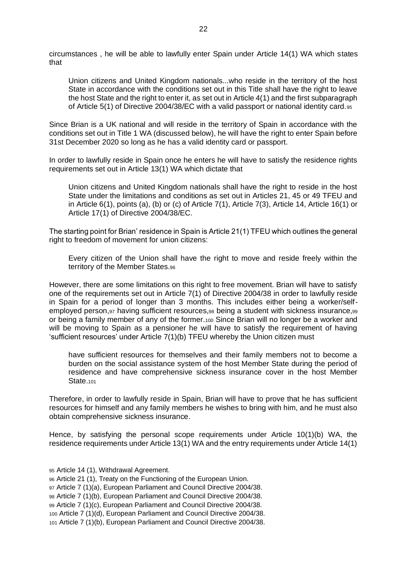circumstances , he will be able to lawfully enter Spain under Article 14(1) WA which states that

Union citizens and United Kingdom nationals...who reside in the territory of the host State in accordance with the conditions set out in this Title shall have the right to leave the host State and the right to enter it, as set out in Article 4(1) and the first subparagraph of Article 5(1) of Directive 2004/38/EC with a valid passport or national identity card.<sup>95</sup>

Since Brian is a UK national and will reside in the territory of Spain in accordance with the conditions set out in Title 1 WA (discussed below), he will have the right to enter Spain before 31st December 2020 so long as he has a valid identity card or passport.

In order to lawfully reside in Spain once he enters he will have to satisfy the residence rights requirements set out in Article 13(1) WA which dictate that

Union citizens and United Kingdom nationals shall have the right to reside in the host State under the limitations and conditions as set out in Articles 21, 45 or 49 TFEU and in Article 6(1), points (a), (b) or (c) of Article 7(1), Article 7(3), Article 14, Article 16(1) or Article 17(1) of Directive 2004/38/EC.

The starting point for Brian' residence in Spain is Article 21(1) TFEU which outlines the general right to freedom of movement for union citizens:

Every citizen of the Union shall have the right to move and reside freely within the territory of the Member States.<sup>96</sup>

However, there are some limitations on this right to free movement. Brian will have to satisfy one of the requirements set out in Article 7(1) of Directive 2004/38 in order to lawfully reside in Spain for a period of longer than 3 months. This includes either being a worker/selfemployed person, 97 having sufficient resources, 98 being a student with sickness insurance, 99 or being a family member of any of the former.<sup>100</sup> Since Brian will no longer be a worker and will be moving to Spain as a pensioner he will have to satisfy the requirement of having 'sufficient resources' under Article 7(1)(b) TFEU whereby the Union citizen must

have sufficient resources for themselves and their family members not to become a burden on the social assistance system of the host Member State during the period of residence and have comprehensive sickness insurance cover in the host Member State.<sub>101</sub>

Therefore, in order to lawfully reside in Spain, Brian will have to prove that he has sufficient resources for himself and any family members he wishes to bring with him, and he must also obtain comprehensive sickness insurance.

Hence, by satisfying the personal scope requirements under Article 10(1)(b) WA, the residence requirements under Article 13(1) WA and the entry requirements under Article 14(1)

- <sup>95</sup> Article 14 (1), Withdrawal Agreement.
- <sup>96</sup> Article 21 (1), Treaty on the Functioning of the European Union.
- <sup>97</sup> Article 7 (1)(a), European Parliament and Council Directive 2004/38.
- <sup>98</sup> Article 7 (1)(b), European Parliament and Council Directive 2004/38.
- <sup>99</sup> Article 7 (1)(c), European Parliament and Council Directive 2004/38.
- <sup>100</sup> Article 7 (1)(d), European Parliament and Council Directive 2004/38.
- <sup>101</sup> Article 7 (1)(b), European Parliament and Council Directive 2004/38.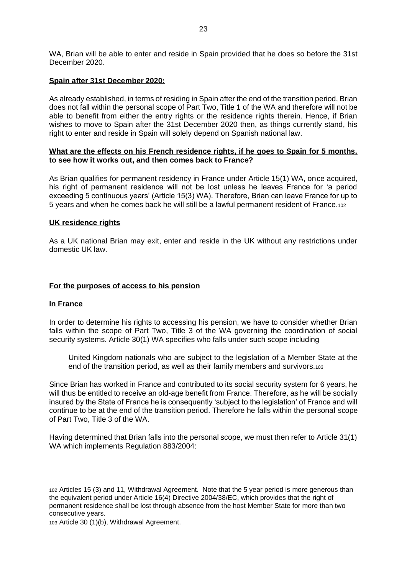WA, Brian will be able to enter and reside in Spain provided that he does so before the 31st December 2020.

## **Spain after 31st December 2020:**

As already established, in terms of residing in Spain after the end of the transition period, Brian does not fall within the personal scope of Part Two, Title 1 of the WA and therefore will not be able to benefit from either the entry rights or the residence rights therein. Hence, if Brian wishes to move to Spain after the 31st December 2020 then, as things currently stand, his right to enter and reside in Spain will solely depend on Spanish national law.

#### **What are the effects on his French residence rights, if he goes to Spain for 5 months, to see how it works out, and then comes back to France?**

As Brian qualifies for permanent residency in France under Article 15(1) WA, once acquired, his right of permanent residence will not be lost unless he leaves France for 'a period exceeding 5 continuous years' (Article 15(3) WA). Therefore, Brian can leave France for up to 5 years and when he comes back he will still be a lawful permanent resident of France.<sup>102</sup>

#### **UK residence rights**

As a UK national Brian may exit, enter and reside in the UK without any restrictions under domestic UK law.

#### **For the purposes of access to his pension**

#### **In France**

In order to determine his rights to accessing his pension, we have to consider whether Brian falls within the scope of Part Two, Title 3 of the WA governing the coordination of social security systems. Article 30(1) WA specifies who falls under such scope including

United Kingdom nationals who are subject to the legislation of a Member State at the end of the transition period, as well as their family members and survivors.<sup>103</sup>

Since Brian has worked in France and contributed to its social security system for 6 years, he will thus be entitled to receive an old-age benefit from France. Therefore, as he will be socially insured by the State of France he is consequently 'subject to the legislation' of France and will continue to be at the end of the transition period. Therefore he falls within the personal scope of Part Two, Title 3 of the WA.

Having determined that Brian falls into the personal scope, we must then refer to Article 31(1) WA which implements Regulation 883/2004:

<sup>102</sup> Articles 15 (3) and 11, Withdrawal Agreement. Note that the 5 year period is more generous than the equivalent period under Article 16(4) Directive 2004/38/EC, which provides that the right of permanent residence shall be lost through absence from the host Member State for more than two consecutive years.

<sup>103</sup> Article 30 (1)(b), Withdrawal Agreement.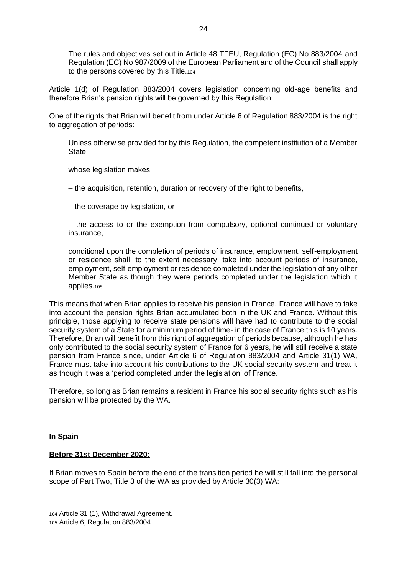The rules and objectives set out in Article 48 TFEU, Regulation (EC) No 883/2004 and Regulation (EC) No 987/2009 of the European Parliament and of the Council shall apply to the persons covered by this Title.<sup>104</sup>

Article 1(d) of Regulation 883/2004 covers legislation concerning old-age benefits and therefore Brian's pension rights will be governed by this Regulation.

One of the rights that Brian will benefit from under Article 6 of Regulation 883/2004 is the right to aggregation of periods:

Unless otherwise provided for by this Regulation, the competent institution of a Member **State** 

whose legislation makes:

– the acquisition, retention, duration or recovery of the right to benefits,

– the coverage by legislation, or

– the access to or the exemption from compulsory, optional continued or voluntary insurance,

conditional upon the completion of periods of insurance, employment, self-employment or residence shall, to the extent necessary, take into account periods of insurance, employment, self-employment or residence completed under the legislation of any other Member State as though they were periods completed under the legislation which it applies.<sup>105</sup>

This means that when Brian applies to receive his pension in France, France will have to take into account the pension rights Brian accumulated both in the UK and France. Without this principle, those applying to receive state pensions will have had to contribute to the social security system of a State for a minimum period of time- in the case of France this is 10 years. Therefore, Brian will benefit from this right of aggregation of periods because, although he has only contributed to the social security system of France for 6 years, he will still receive a state pension from France since, under Article 6 of Regulation 883/2004 and Article 31(1) WA, France must take into account his contributions to the UK social security system and treat it as though it was a 'period completed under the legislation' of France.

Therefore, so long as Brian remains a resident in France his social security rights such as his pension will be protected by the WA.

## **In Spain**

# **Before 31st December 2020:**

If Brian moves to Spain before the end of the transition period he will still fall into the personal scope of Part Two, Title 3 of the WA as provided by Article 30(3) WA:

<sup>104</sup> Article 31 (1), Withdrawal Agreement. <sup>105</sup> Article 6, Regulation 883/2004.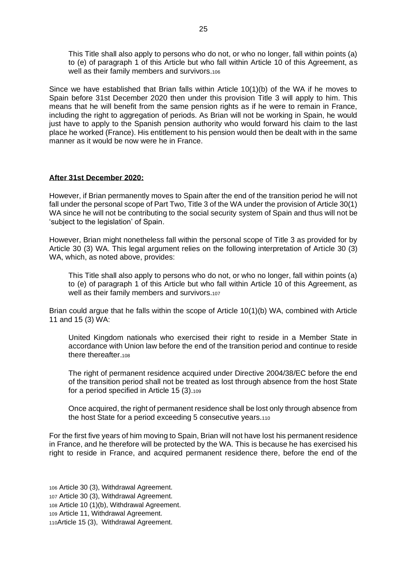This Title shall also apply to persons who do not, or who no longer, fall within points (a) to (e) of paragraph 1 of this Article but who fall within Article 10 of this Agreement, as well as their family members and survivors.<sup>106</sup>

Since we have established that Brian falls within Article 10(1)(b) of the WA if he moves to Spain before 31st December 2020 then under this provision Title 3 will apply to him. This means that he will benefit from the same pension rights as if he were to remain in France, including the right to aggregation of periods. As Brian will not be working in Spain, he would just have to apply to the Spanish pension authority who would forward his claim to the last place he worked (France). His entitlement to his pension would then be dealt with in the same manner as it would be now were he in France.

#### **After 31st December 2020:**

However, if Brian permanently moves to Spain after the end of the transition period he will not fall under the personal scope of Part Two, Title 3 of the WA under the provision of Article 30(1) WA since he will not be contributing to the social security system of Spain and thus will not be 'subject to the legislation' of Spain.

However, Brian might nonetheless fall within the personal scope of Title 3 as provided for by Article 30 (3) WA. This legal argument relies on the following interpretation of Article 30 (3) WA, which, as noted above, provides:

This Title shall also apply to persons who do not, or who no longer, fall within points (a) to (e) of paragraph 1 of this Article but who fall within Article 10 of this Agreement, as well as their family members and survivors.107

Brian could argue that he falls within the scope of Article 10(1)(b) WA, combined with Article 11 and 15 (3) WA:

United Kingdom nationals who exercised their right to reside in a Member State in accordance with Union law before the end of the transition period and continue to reside there thereafter.<sup>108</sup>

The right of permanent residence acquired under Directive 2004/38/EC before the end of the transition period shall not be treated as lost through absence from the host State for a period specified in Article 15 (3).<sup>109</sup>

Once acquired, the right of permanent residence shall be lost only through absence from the host State for a period exceeding 5 consecutive years.<sup>110</sup>

For the first five years of him moving to Spain, Brian will not have lost his permanent residence in France, and he therefore will be protected by the WA. This is because he has exercised his right to reside in France, and acquired permanent residence there, before the end of the

 Article 30 (3), Withdrawal Agreement. Article 30 (3), Withdrawal Agreement. Article 10 (1)(b), Withdrawal Agreement. Article 11, Withdrawal Agreement. Article 15 (3), Withdrawal Agreement.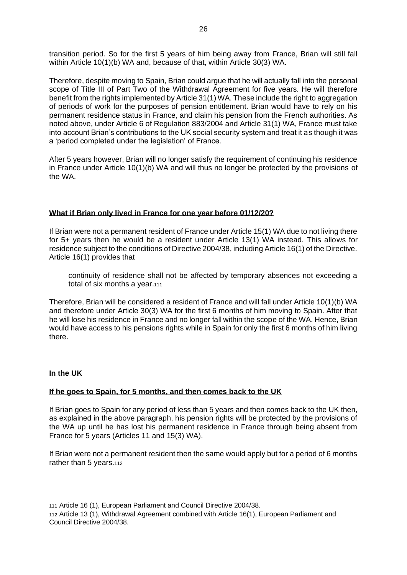transition period. So for the first 5 years of him being away from France, Brian will still fall within Article 10(1)(b) WA and, because of that, within Article 30(3) WA.

Therefore, despite moving to Spain, Brian could argue that he will actually fall into the personal scope of Title III of Part Two of the Withdrawal Agreement for five years. He will therefore benefit from the rights implemented by Article 31(1) WA. These include the right to aggregation of periods of work for the purposes of pension entitlement. Brian would have to rely on his permanent residence status in France, and claim his pension from the French authorities. As noted above, under Article 6 of Regulation 883/2004 and Article 31(1) WA, France must take into account Brian's contributions to the UK social security system and treat it as though it was a 'period completed under the legislation' of France.

After 5 years however, Brian will no longer satisfy the requirement of continuing his residence in France under Article 10(1)(b) WA and will thus no longer be protected by the provisions of the WA.

# **What if Brian only lived in France for one year before 01/12/20?**

If Brian were not a permanent resident of France under Article 15(1) WA due to not living there for 5+ years then he would be a resident under Article 13(1) WA instead. This allows for residence subject to the conditions of Directive 2004/38, including Article 16(1) of the Directive. Article 16(1) provides that

continuity of residence shall not be affected by temporary absences not exceeding a total of six months a year.111

Therefore, Brian will be considered a resident of France and will fall under Article 10(1)(b) WA and therefore under Article 30(3) WA for the first 6 months of him moving to Spain. After that he will lose his residence in France and no longer fall within the scope of the WA. Hence, Brian would have access to his pensions rights while in Spain for only the first 6 months of him living there.

# **In the UK**

# **If he goes to Spain, for 5 months, and then comes back to the UK**

If Brian goes to Spain for any period of less than 5 years and then comes back to the UK then, as explained in the above paragraph, his pension rights will be protected by the provisions of the WA up until he has lost his permanent residence in France through being absent from France for 5 years (Articles 11 and 15(3) WA).

If Brian were not a permanent resident then the same would apply but for a period of 6 months rather than 5 years.112

<sup>111</sup> Article 16 (1), European Parliament and Council Directive 2004/38.

<sup>112</sup> Article 13 (1), Withdrawal Agreement combined with Article 16(1), European Parliament and Council Directive 2004/38.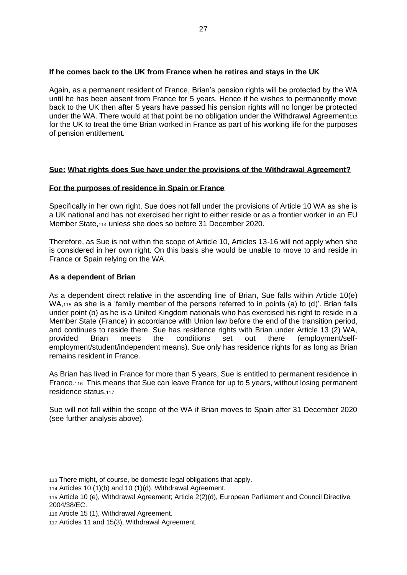## **If he comes back to the UK from France when he retires and stays in the UK**

Again, as a permanent resident of France, Brian's pension rights will be protected by the WA until he has been absent from France for 5 years. Hence if he wishes to permanently move back to the UK then after 5 years have passed his pension rights will no longer be protected under the WA. There would at that point be no obligation under the Withdrawal Agreement<sub>113</sub> for the UK to treat the time Brian worked in France as part of his working life for the purposes of pension entitlement.

## **Sue: What rights does Sue have under the provisions of the Withdrawal Agreement?**

## **For the purposes of residence in Spain or France**

Specifically in her own right, Sue does not fall under the provisions of Article 10 WA as she is a UK national and has not exercised her right to either reside or as a frontier worker in an EU Member State,<sup>114</sup> unless she does so before 31 December 2020.

Therefore, as Sue is not within the scope of Article 10, Articles 13-16 will not apply when she is considered in her own right. On this basis she would be unable to move to and reside in France or Spain relying on the WA.

## **As a dependent of Brian**

As a dependent direct relative in the ascending line of Brian, Sue falls within Article 10(e) WA,<sub>115</sub> as she is a 'family member of the persons referred to in points (a) to (d)'. Brian falls under point (b) as he is a United Kingdom nationals who has exercised his right to reside in a Member State (France) in accordance with Union law before the end of the transition period, and continues to reside there. Sue has residence rights with Brian under Article 13 (2) WA, provided Brian meets the conditions set out there (employment/selfemployment/student/independent means). Sue only has residence rights for as long as Brian remains resident in France.

As Brian has lived in France for more than 5 years, Sue is entitled to permanent residence in France.116 This means that Sue can leave France for up to 5 years, without losing permanent residence status.<sup>117</sup>

Sue will not fall within the scope of the WA if Brian moves to Spain after 31 December 2020 (see further analysis above).

<sup>116</sup> Article 15 (1), Withdrawal Agreement.

<sup>113</sup> There might, of course, be domestic legal obligations that apply.

<sup>114</sup> Articles 10 (1)(b) and 10 (1)(d), Withdrawal Agreement.

<sup>115</sup> Article 10 (e), Withdrawal Agreement; Article 2(2)(d), European Parliament and Council Directive 2004/38/EC.

<sup>117</sup> Articles 11 and 15(3), Withdrawal Agreement.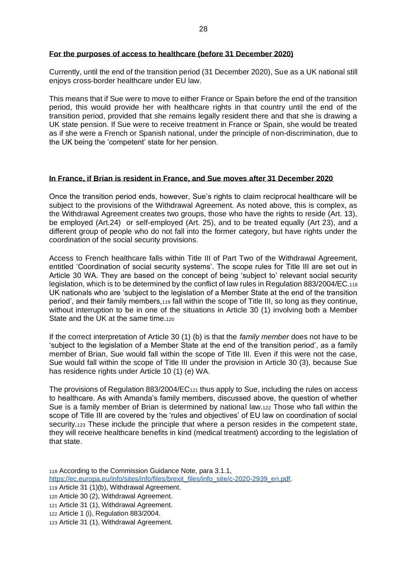## **For the purposes of access to healthcare (before 31 December 2020)**

Currently, until the end of the transition period (31 December 2020), Sue as a UK national still enjoys cross-border healthcare under EU law.

This means that if Sue were to move to either France or Spain before the end of the transition period, this would provide her with healthcare rights in that country until the end of the transition period, provided that she remains legally resident there and that she is drawing a UK state pension. If Sue were to receive treatment in France or Spain, she would be treated as if she were a French or Spanish national, under the principle of non-discrimination, due to the UK being the 'competent' state for her pension.

#### **In France, if Brian is resident in France, and Sue moves after 31 December 2020**

Once the transition period ends, however, Sue's rights to claim reciprocal healthcare will be subject to the provisions of the Withdrawal Agreement. As noted above, this is complex, as the Withdrawal Agreement creates two groups, those who have the rights to reside (Art. 13), be employed (Art.24) or self-employed (Art. 25), and to be treated equally (Art 23), and a different group of people who do not fall into the former category, but have rights under the coordination of the social security provisions.

Access to French healthcare falls within Title III of Part Two of the Withdrawal Agreement, entitled 'Coordination of social security systems'. The scope rules for Title III are set out in Article 30 WA. They are based on the concept of being 'subject to' relevant social security legislation, which is to be determined by the conflict of law rules in Regulation 883/2004/EC.<sup>118</sup> UK nationals who are 'subject to the legislation of a Member State at the end of the transition period', and their family members,<sup>119</sup> fall within the scope of Title III, so long as they continue, without interruption to be in one of the situations in Article 30 (1) involving both a Member State and the UK at the same time.<sup>120</sup>

If the correct interpretation of Article 30 (1) (b) is that the *family member* does not have to be 'subject to the legislation of a Member State at the end of the transition period', as a family member of Brian, Sue would fall within the scope of Title III. Even if this were not the case, Sue would fall within the scope of Title III under the provision in Article 30 (3), because Sue has residence rights under Article 10 (1) (e) WA.

The provisions of Regulation 883/2004/EC<sup>121</sup> thus apply to Sue, including the rules on access to healthcare. As with Amanda's family members, discussed above, the question of whether Sue is a family member of Brian is determined by national law.<sup>122</sup> Those who fall within the scope of Title III are covered by the 'rules and objectives' of EU law on coordination of social security.<sub>123</sub> These include the principle that where a person resides in the competent state, they will receive healthcare benefits in kind (medical treatment) according to the legislation of that state.

<sup>118</sup> According to the Commission Guidance Note, para 3.1.1,

[https://ec.europa.eu/info/sites/info/files/brexit\\_files/info\\_site/c-2020-2939\\_en.pdf.](https://ec.europa.eu/info/sites/info/files/brexit_files/info_site/c-2020-2939_en.pdf)

<sup>119</sup> Article 31 (1)(b), Withdrawal Agreement.

<sup>120</sup> Article 30 (2), Withdrawal Agreement.

<sup>121</sup> Article 31 (1), Withdrawal Agreement.

<sup>122</sup> Article 1 (i), Regulation 883/2004.

<sup>123</sup> Article 31 (1), Withdrawal Agreement.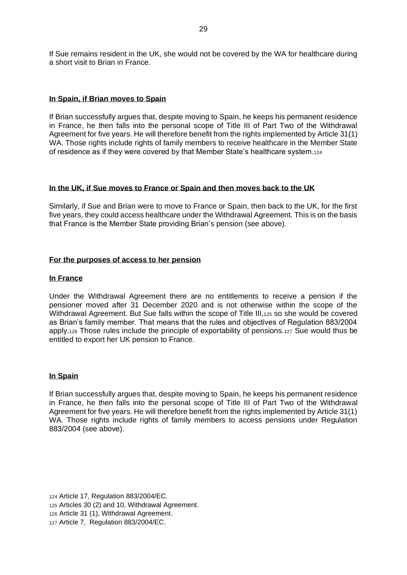If Sue remains resident in the UK, she would not be covered by the WA for healthcare during a short visit to Brian in France.

## **In Spain, if Brian moves to Spain**

If Brian successfully argues that, despite moving to Spain, he keeps his permanent residence in France, he then falls into the personal scope of Title III of Part Two of the Withdrawal Agreement for five years. He will therefore benefit from the rights implemented by Article 31(1) WA. Those rights include rights of family members to receive healthcare in the Member State of residence as if they were covered by that Member State's healthcare system.<sup>124</sup>

## **In the UK, if Sue moves to France or Spain and then moves back to the UK**

Similarly, if Sue and Brian were to move to France or Spain, then back to the UK, for the first five years, they could access healthcare under the Withdrawal Agreement. This is on the basis that France is the Member State providing Brian's pension (see above).

## **For the purposes of access to her pension**

## **In France**

Under the Withdrawal Agreement there are no entitlements to receive a pension if the pensioner moved after 31 December 2020 and is not otherwise within the scope of the Withdrawal Agreement. But Sue falls within the scope of Title III,125 so she would be covered as Brian's family member. That means that the rules and objectives of Regulation 883/2004 apply.<sup>126</sup> Those rules include the principle of exportability of pensions.<sup>127</sup> Sue would thus be entitled to export her UK pension to France.

#### **In Spain**

If Brian successfully argues that, despite moving to Spain, he keeps his permanent residence in France, he then falls into the personal scope of Title III of Part Two of the Withdrawal Agreement for five years. He will therefore benefit from the rights implemented by Article 31(1) WA. Those rights include rights of family members to access pensions under Regulation 883/2004 (see above).

 Article 17, Regulation 883/2004/EC. Articles 30 (2) and 10, Withdrawal Agreement. Article 31 (1), Withdrawal Agreement. Article 7, Regulation 883/2004/EC.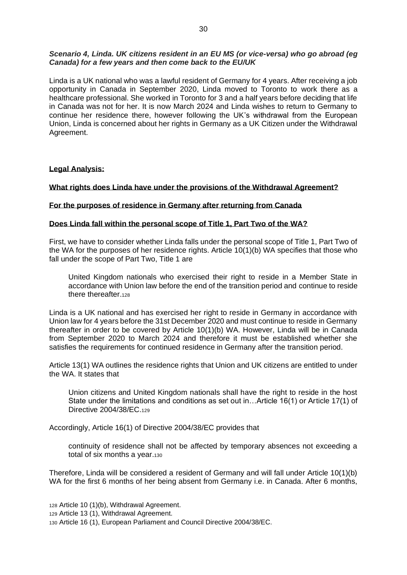# *Scenario 4, Linda. UK citizens resident in an EU MS (or vice-versa) who go abroad (eg Canada) for a few years and then come back to the EU/UK*

Linda is a UK national who was a lawful resident of Germany for 4 years. After receiving a job opportunity in Canada in September 2020, Linda moved to Toronto to work there as a healthcare professional. She worked in Toronto for 3 and a half years before deciding that life in Canada was not for her. It is now March 2024 and Linda wishes to return to Germany to continue her residence there, however following the UK's withdrawal from the European Union, Linda is concerned about her rights in Germany as a UK Citizen under the Withdrawal Agreement.

## **Legal Analysis:**

## **What rights does Linda have under the provisions of the Withdrawal Agreement?**

## **For the purposes of residence in Germany after returning from Canada**

## **Does Linda fall within the personal scope of Title 1, Part Two of the WA?**

First, we have to consider whether Linda falls under the personal scope of Title 1, Part Two of the WA for the purposes of her residence rights. Article 10(1)(b) WA specifies that those who fall under the scope of Part Two, Title 1 are

United Kingdom nationals who exercised their right to reside in a Member State in accordance with Union law before the end of the transition period and continue to reside there thereafter.<sup>128</sup>

Linda is a UK national and has exercised her right to reside in Germany in accordance with Union law for 4 years before the 31st December 2020 and must continue to reside in Germany thereafter in order to be covered by Article 10(1)(b) WA. However, Linda will be in Canada from September 2020 to March 2024 and therefore it must be established whether she satisfies the requirements for continued residence in Germany after the transition period.

Article 13(1) WA outlines the residence rights that Union and UK citizens are entitled to under the WA. It states that

Union citizens and United Kingdom nationals shall have the right to reside in the host State under the limitations and conditions as set out in…Article 16(1) or Article 17(1) of Directive 2004/38/EC.<sup>129</sup>

Accordingly, Article 16(1) of Directive 2004/38/EC provides that

continuity of residence shall not be affected by temporary absences not exceeding a total of six months a year.<sup>130</sup>

Therefore, Linda will be considered a resident of Germany and will fall under Article 10(1)(b) WA for the first 6 months of her being absent from Germany i.e. in Canada. After 6 months,

<sup>128</sup> Article 10 (1)(b), Withdrawal Agreement.

<sup>129</sup> Article 13 (1), Withdrawal Agreement.

<sup>130</sup> Article 16 (1), European Parliament and Council Directive 2004/38/EC.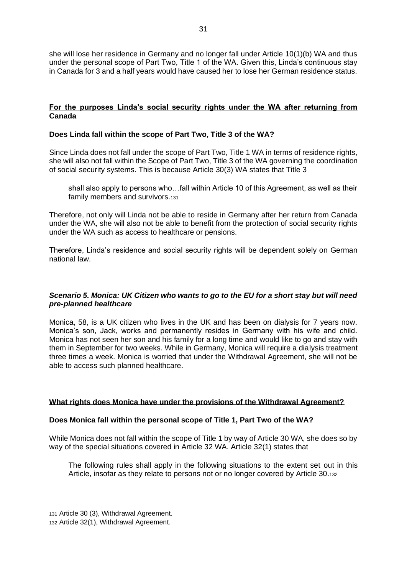she will lose her residence in Germany and no longer fall under Article 10(1)(b) WA and thus under the personal scope of Part Two, Title 1 of the WA. Given this, Linda's continuous stay in Canada for 3 and a half years would have caused her to lose her German residence status.

# **For the purposes Linda's social security rights under the WA after returning from Canada**

## **Does Linda fall within the scope of Part Two, Title 3 of the WA?**

Since Linda does not fall under the scope of Part Two, Title 1 WA in terms of residence rights, she will also not fall within the Scope of Part Two, Title 3 of the WA governing the coordination of social security systems. This is because Article 30(3) WA states that Title 3

shall also apply to persons who…fall within Article 10 of this Agreement, as well as their family members and survivors.<sup>131</sup>

Therefore, not only will Linda not be able to reside in Germany after her return from Canada under the WA, she will also not be able to benefit from the protection of social security rights under the WA such as access to healthcare or pensions.

Therefore, Linda's residence and social security rights will be dependent solely on German national law.

## *Scenario 5. Monica: UK Citizen who wants to go to the EU for a short stay but will need pre-planned healthcare*

Monica, 58, is a UK citizen who lives in the UK and has been on dialysis for 7 years now. Monica's son, Jack, works and permanently resides in Germany with his wife and child. Monica has not seen her son and his family for a long time and would like to go and stay with them in September for two weeks. While in Germany, Monica will require a dialysis treatment three times a week. Monica is worried that under the Withdrawal Agreement, she will not be able to access such planned healthcare.

#### **What rights does Monica have under the provisions of the Withdrawal Agreement?**

#### **Does Monica fall within the personal scope of Title 1, Part Two of the WA?**

While Monica does not fall within the scope of Title 1 by way of Article 30 WA, she does so by way of the special situations covered in Article 32 WA. Article 32(1) states that

The following rules shall apply in the following situations to the extent set out in this Article, insofar as they relate to persons not or no longer covered by Article 30.<sup>132</sup>

<sup>131</sup> Article 30 (3), Withdrawal Agreement. <sup>132</sup> Article 32(1), Withdrawal Agreement.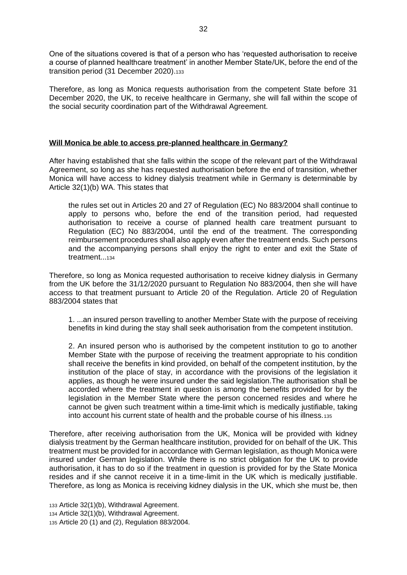One of the situations covered is that of a person who has 'requested authorisation to receive a course of planned healthcare treatment' in another Member State/UK, before the end of the transition period (31 December 2020).<sup>133</sup>

Therefore, as long as Monica requests authorisation from the competent State before 31 December 2020, the UK, to receive healthcare in Germany, she will fall within the scope of the social security coordination part of the Withdrawal Agreement.

## **Will Monica be able to access pre-planned healthcare in Germany?**

After having established that she falls within the scope of the relevant part of the Withdrawal Agreement, so long as she has requested authorisation before the end of transition, whether Monica will have access to kidney dialysis treatment while in Germany is determinable by Article 32(1)(b) WA. This states that

the rules set out in Articles 20 and 27 of Regulation (EC) No 883/2004 shall continue to apply to persons who, before the end of the transition period, had requested authorisation to receive a course of planned health care treatment pursuant to Regulation (EC) No 883/2004, until the end of the treatment. The corresponding reimbursement procedures shall also apply even after the treatment ends. Such persons and the accompanying persons shall enjoy the right to enter and exit the State of treatment...<sup>134</sup>

Therefore, so long as Monica requested authorisation to receive kidney dialysis in Germany from the UK before the 31/12/2020 pursuant to Regulation No 883/2004, then she will have access to that treatment pursuant to Article 20 of the Regulation. Article 20 of Regulation 883/2004 states that

1. ...an insured person travelling to another Member State with the purpose of receiving benefits in kind during the stay shall seek authorisation from the competent institution.

2. An insured person who is authorised by the competent institution to go to another Member State with the purpose of receiving the treatment appropriate to his condition shall receive the benefits in kind provided, on behalf of the competent institution, by the institution of the place of stay, in accordance with the provisions of the legislation it applies, as though he were insured under the said legislation.The authorisation shall be accorded where the treatment in question is among the benefits provided for by the legislation in the Member State where the person concerned resides and where he cannot be given such treatment within a time-limit which is medically justifiable, taking into account his current state of health and the probable course of his illness.<sup>135</sup>

Therefore, after receiving authorisation from the UK, Monica will be provided with kidney dialysis treatment by the German healthcare institution, provided for on behalf of the UK. This treatment must be provided for in accordance with German legislation, as though Monica were insured under German legislation. While there is no strict obligation for the UK to provide authorisation, it has to do so if the treatment in question is provided for by the State Monica resides and if she cannot receive it in a time-limit in the UK which is medically justifiable. Therefore, as long as Monica is receiving kidney dialysis in the UK, which she must be, then

<sup>133</sup> Article 32(1)(b), Withdrawal Agreement. <sup>134</sup> Article 32(1)(b), Withdrawal Agreement. <sup>135</sup> Article 20 (1) and (2), Regulation 883/2004.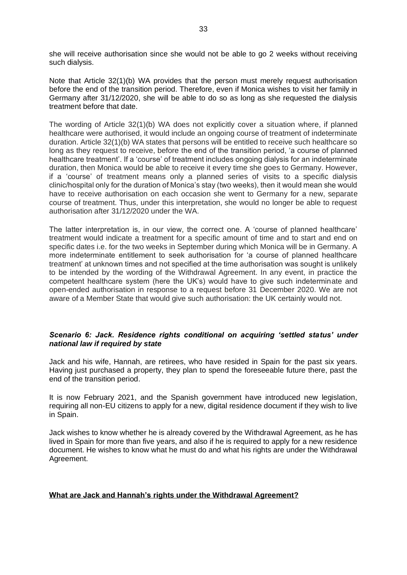she will receive authorisation since she would not be able to go 2 weeks without receiving such dialysis.

Note that Article 32(1)(b) WA provides that the person must merely request authorisation before the end of the transition period. Therefore, even if Monica wishes to visit her family in Germany after 31/12/2020, she will be able to do so as long as she requested the dialysis treatment before that date.

The wording of Article 32(1)(b) WA does not explicitly cover a situation where, if planned healthcare were authorised, it would include an ongoing course of treatment of indeterminate duration. Article 32(1)(b) WA states that persons will be entitled to receive such healthcare so long as they request to receive, before the end of the transition period, 'a course of planned healthcare treatment'. If a 'course' of treatment includes ongoing dialysis for an indeterminate duration, then Monica would be able to receive it every time she goes to Germany. However, if a 'course' of treatment means only a planned series of visits to a specific dialysis clinic/hospital only for the duration of Monica's stay (two weeks), then it would mean she would have to receive authorisation on each occasion she went to Germany for a new, separate course of treatment. Thus, under this interpretation, she would no longer be able to request authorisation after 31/12/2020 under the WA.

The latter interpretation is, in our view, the correct one. A 'course of planned healthcare' treatment would indicate a treatment for a specific amount of time and to start and end on specific dates i.e. for the two weeks in September during which Monica will be in Germany. A more indeterminate entitlement to seek authorisation for 'a course of planned healthcare treatment' at unknown times and not specified at the time authorisation was sought is unlikely to be intended by the wording of the Withdrawal Agreement. In any event, in practice the competent healthcare system (here the UK's) would have to give such indeterminate and open-ended authorisation in response to a request before 31 December 2020. We are not aware of a Member State that would give such authorisation: the UK certainly would not.

## *Scenario 6: Jack. Residence rights conditional on acquiring 'settled status' under national law if required by state*

Jack and his wife, Hannah, are retirees, who have resided in Spain for the past six years. Having just purchased a property, they plan to spend the foreseeable future there, past the end of the transition period.

It is now February 2021, and the Spanish government have introduced new legislation, requiring all non-EU citizens to apply for a new, digital residence document if they wish to live in Spain.

Jack wishes to know whether he is already covered by the Withdrawal Agreement, as he has lived in Spain for more than five years, and also if he is required to apply for a new residence document. He wishes to know what he must do and what his rights are under the Withdrawal Agreement.

# **What are Jack and Hannah's rights under the Withdrawal Agreement?**